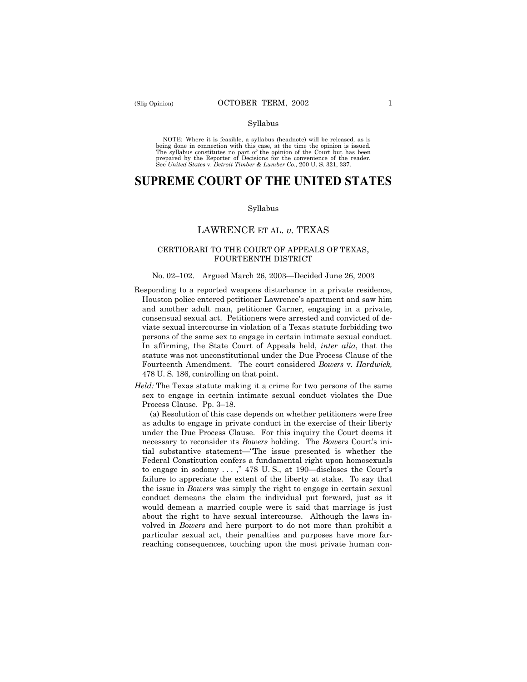NOTE: Where it is feasible, a syllabus (headnote) will be released, as is being done in connection with this case, at the time the opinion is issued. The syllabus constitutes no part of the opinion of the Court but has been<br>prepared by the Reporter of Decisions for the convenience of the reader.<br>See United States v. Detroit Timber & Lumber Co., 200 U. S. 321, 337.

# **SUPREME COURT OF THE UNITED STATES**

#### Syllabus

# LAWRENCE ET AL. *v.* TEXAS

# CERTIORARI TO THE COURT OF APPEALS OF TEXAS, FOURTEENTH DISTRICT

#### No. 02–102. Argued March 26, 2003—Decided June 26, 2003

- Responding to a reported weapons disturbance in a private residence, Houston police entered petitioner Lawrence's apartment and saw him and another adult man, petitioner Garner, engaging in a private, consensual sexual act. Petitioners were arrested and convicted of deviate sexual intercourse in violation of a Texas statute forbidding two persons of the same sex to engage in certain intimate sexual conduct. In affirming, the State Court of Appeals held, *inter alia*, that the statute was not unconstitutional under the Due Process Clause of the Fourteenth Amendment. The court considered *Bowers* v. *Hardwick,*  478 U. S. 186, controlling on that point.
- *Held:* The Texas statute making it a crime for two persons of the same sex to engage in certain intimate sexual conduct violates the Due Process Clause. Pp. 3–18.

(a) Resolution of this case depends on whether petitioners were free as adults to engage in private conduct in the exercise of their liberty under the Due Process Clause. For this inquiry the Court deems it necessary to reconsider its *Bowers* holding. The *Bowers* Court's initial substantive statement—"The issue presented is whether the Federal Constitution confers a fundamental right upon homosexuals to engage in sodomy . . . ," 478 U. S., at 190—discloses the Court's failure to appreciate the extent of the liberty at stake. To say that the issue in *Bowers* was simply the right to engage in certain sexual conduct demeans the claim the individual put forward, just as it would demean a married couple were it said that marriage is just about the right to have sexual intercourse. Although the laws involved in *Bowers* and here purport to do not more than prohibit a particular sexual act, their penalties and purposes have more farreaching consequences, touching upon the most private human con-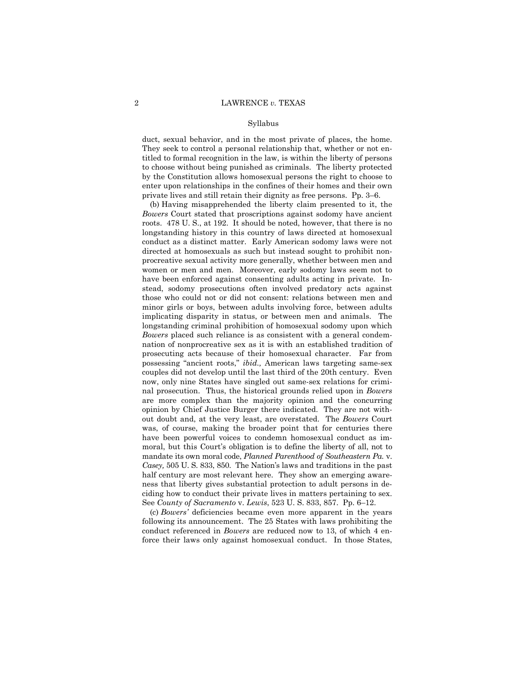duct, sexual behavior, and in the most private of places, the home. They seek to control a personal relationship that, whether or not entitled to formal recognition in the law, is within the liberty of persons to choose without being punished as criminals. The liberty protected by the Constitution allows homosexual persons the right to choose to enter upon relationships in the confines of their homes and their own private lives and still retain their dignity as free persons. Pp. 3–6.

(b) Having misapprehended the liberty claim presented to it, the *Bowers* Court stated that proscriptions against sodomy have ancient roots. 478 U. S., at 192. It should be noted, however, that there is no longstanding history in this country of laws directed at homosexual conduct as a distinct matter. Early American sodomy laws were not directed at homosexuals as such but instead sought to prohibit nonprocreative sexual activity more generally, whether between men and women or men and men. Moreover, early sodomy laws seem not to have been enforced against consenting adults acting in private. Instead, sodomy prosecutions often involved predatory acts against those who could not or did not consent: relations between men and minor girls or boys, between adults involving force, between adults implicating disparity in status, or between men and animals. The longstanding criminal prohibition of homosexual sodomy upon which *Bowers* placed such reliance is as consistent with a general condemnation of nonprocreative sex as it is with an established tradition of prosecuting acts because of their homosexual character. Far from possessing "ancient roots," *ibid.,* American laws targeting same-sex couples did not develop until the last third of the 20th century. Even now, only nine States have singled out same-sex relations for criminal prosecution. Thus, the historical grounds relied upon in *Bowers*  are more complex than the majority opinion and the concurring opinion by Chief Justice Burger there indicated. They are not without doubt and, at the very least, are overstated. The *Bowers* Court was, of course, making the broader point that for centuries there have been powerful voices to condemn homosexual conduct as immoral, but this Court's obligation is to define the liberty of all, not to mandate its own moral code, *Planned Parenthood of Southeastern Pa.* v. *Casey,* 505 U. S. 833, 850. The Nation's laws and traditions in the past half century are most relevant here. They show an emerging awareness that liberty gives substantial protection to adult persons in deciding how to conduct their private lives in matters pertaining to sex. See *County of Sacramento* v. *Lewis*, 523 U. S. 833, 857. Pp. 6–12.

(c) *Bowers'* deficiencies became even more apparent in the years following its announcement. The 25 States with laws prohibiting the conduct referenced in *Bowers* are reduced now to 13, of which 4 enforce their laws only against homosexual conduct. In those States,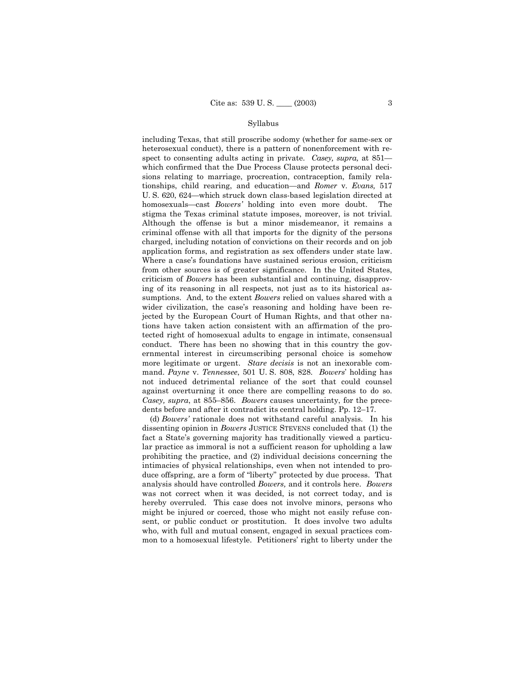including Texas, that still proscribe sodomy (whether for same-sex or heterosexual conduct), there is a pattern of nonenforcement with respect to consenting adults acting in private. *Casey, supra,* at 851 which confirmed that the Due Process Clause protects personal decisions relating to marriage, procreation, contraception, family relationships, child rearing, and education—and *Romer* v. *Evans,* 517 U. S. 620, 624—which struck down class-based legislation directed at homosexuals—cast *Bowers'* holding into even more doubt. The stigma the Texas criminal statute imposes, moreover, is not trivial. Although the offense is but a minor misdemeanor, it remains a criminal offense with all that imports for the dignity of the persons charged, including notation of convictions on their records and on job application forms, and registration as sex offenders under state law. Where a case's foundations have sustained serious erosion, criticism from other sources is of greater significance. In the United States, criticism of *Bowers* has been substantial and continuing, disapproving of its reasoning in all respects, not just as to its historical assumptions. And, to the extent *Bowers* relied on values shared with a wider civilization, the case's reasoning and holding have been rejected by the European Court of Human Rights, and that other nations have taken action consistent with an affirmation of the protected right of homosexual adults to engage in intimate, consensual conduct. There has been no showing that in this country the governmental interest in circumscribing personal choice is somehow more legitimate or urgent. *Stare decisis* is not an inexorable command. *Payne* v. *Tennessee*, 501 U. S. 808, 828. *Bowers*' holding has not induced detrimental reliance of the sort that could counsel against overturning it once there are compelling reasons to do so. *Casey, supra*, at 855–856. *Bowers* causes uncertainty, for the precedents before and after it contradict its central holding. Pp. 12–17.

(d) *Bowers'* rationale does not withstand careful analysis. In his dissenting opinion in *Bowers* JUSTICE STEVENS concluded that (1) the fact a State's governing majority has traditionally viewed a particular practice as immoral is not a sufficient reason for upholding a law prohibiting the practice, and (2) individual decisions concerning the intimacies of physical relationships, even when not intended to produce offspring, are a form of "liberty" protected by due process. That analysis should have controlled *Bowers,* and it controls here. *Bowers*  was not correct when it was decided, is not correct today, and is hereby overruled. This case does not involve minors, persons who might be injured or coerced, those who might not easily refuse consent, or public conduct or prostitution. It does involve two adults who, with full and mutual consent, engaged in sexual practices common to a homosexual lifestyle. Petitioners' right to liberty under the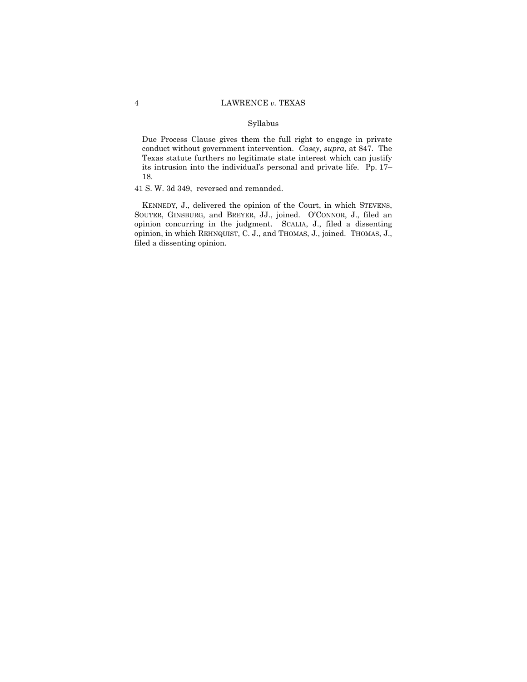Due Process Clause gives them the full right to engage in private conduct without government intervention. *Casey*, *supra*, at 847. The Texas statute furthers no legitimate state interest which can justify its intrusion into the individual's personal and private life. Pp. 17– 18.

41 S. W. 3d 349, reversed and remanded.

KENNEDY, J., delivered the opinion of the Court, in which STEVENS, SOUTER, GINSBURG, and BREYER, JJ., joined. O'CONNOR, J., filed an opinion concurring in the judgment. SCALIA, J., filed a dissenting opinion, in which REHNQUIST, C. J., and THOMAS, J., joined. THOMAS, J., filed a dissenting opinion.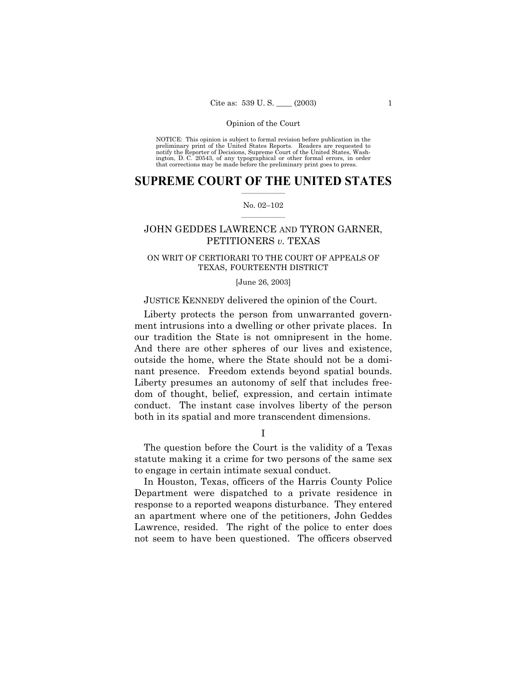#### Opinion of the Court

NOTICE: This opinion is subject to formal revision before publication in the preliminary print of the United States Reports. Readers are requested to notify the Reporter of Decisions, Supreme Court of the United States, Wa ington, D. C. 20543, of any typographical or other formal errors, in order that corrections may be made before the preliminary print goes to press.

# **SUPREME COURT OF THE UNITED STATES**  $\frac{1}{2}$  ,  $\frac{1}{2}$  ,  $\frac{1}{2}$  ,  $\frac{1}{2}$  ,  $\frac{1}{2}$  ,  $\frac{1}{2}$

#### No. 02–102  $\frac{1}{2}$  ,  $\frac{1}{2}$  ,  $\frac{1}{2}$  ,  $\frac{1}{2}$  ,  $\frac{1}{2}$  ,  $\frac{1}{2}$  ,  $\frac{1}{2}$

# JOHN GEDDES LAWRENCE AND TYRON GARNER, PETITIONERS *v.* TEXAS

# ON WRIT OF CERTIORARI TO THE COURT OF APPEALS OF TEXAS, FOURTEENTH DISTRICT

#### [June 26, 2003]

## JUSTICE KENNEDY delivered the opinion of the Court.

Liberty protects the person from unwarranted government intrusions into a dwelling or other private places. In our tradition the State is not omnipresent in the home. And there are other spheres of our lives and existence, outside the home, where the State should not be a dominant presence. Freedom extends beyond spatial bounds. Liberty presumes an autonomy of self that includes freedom of thought, belief, expression, and certain intimate conduct. The instant case involves liberty of the person both in its spatial and more transcendent dimensions.

I

The question before the Court is the validity of a Texas statute making it a crime for two persons of the same sex to engage in certain intimate sexual conduct.

In Houston, Texas, officers of the Harris County Police Department were dispatched to a private residence in response to a reported weapons disturbance. They entered an apartment where one of the petitioners, John Geddes Lawrence, resided. The right of the police to enter does not seem to have been questioned. The officers observed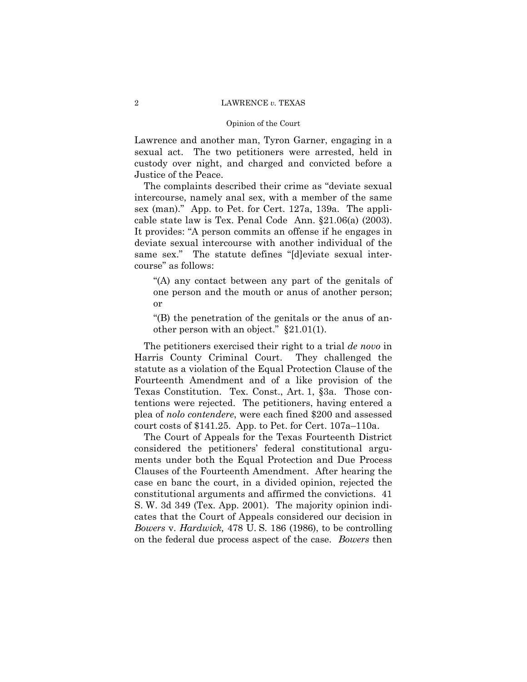#### Opinion of the Court

Lawrence and another man, Tyron Garner, engaging in a sexual act. The two petitioners were arrested, held in custody over night, and charged and convicted before a Justice of the Peace.

The complaints described their crime as "deviate sexual intercourse, namely anal sex, with a member of the same sex (man)." App. to Pet. for Cert. 127a, 139a. The applicable state law is Tex. Penal Code Ann. §21.06(a) (2003). It provides: "A person commits an offense if he engages in deviate sexual intercourse with another individual of the same sex." The statute defines "[d]eviate sexual intercourse" as follows:

"(A) any contact between any part of the genitals of one person and the mouth or anus of another person; or

"(B) the penetration of the genitals or the anus of another person with an object." §21.01(1).

The petitioners exercised their right to a trial *de novo* in Harris County Criminal Court. They challenged the statute as a violation of the Equal Protection Clause of the Fourteenth Amendment and of a like provision of the Texas Constitution. Tex. Const., Art. 1, §3a. Those contentions were rejected. The petitioners, having entered a plea of *nolo contendere*, were each fined \$200 and assessed court costs of \$141.25. App. to Pet. for Cert. 107a–110a.

The Court of Appeals for the Texas Fourteenth District considered the petitioners' federal constitutional arguments under both the Equal Protection and Due Process Clauses of the Fourteenth Amendment. After hearing the case en banc the court, in a divided opinion, rejected the constitutional arguments and affirmed the convictions. 41 S. W. 3d 349 (Tex. App. 2001). The majority opinion indicates that the Court of Appeals considered our decision in *Bowers* v. *Hardwick,* 478 U. S. 186 (1986), to be controlling on the federal due process aspect of the case. *Bowers* then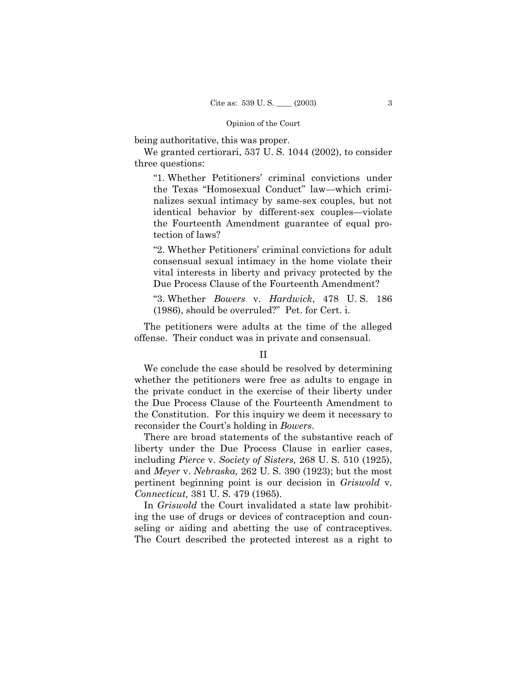#### Opinion of the Court

being authoritative, this was proper.

We granted certiorari, 537 U. S. 1044 (2002), to consider three questions:

"1. Whether Petitioners' criminal convictions under the Texas "Homosexual Conduct" law—which criminalizes sexual intimacy by same-sex couples, but not identical behavior by different-sex couples—violate the Fourteenth Amendment guarantee of equal protection of laws?

"2. Whether Petitioners' criminal convictions for adult consensual sexual intimacy in the home violate their vital interests in liberty and privacy protected by the Due Process Clause of the Fourteenth Amendment?

"3. Whether *Bowers* v. *Hardwick*, 478 U. S. 186 (1986), should be overruled?" Pet. for Cert. i.

The petitioners were adults at the time of the alleged offense. Their conduct was in private and consensual.

# II

We conclude the case should be resolved by determining whether the petitioners were free as adults to engage in the private conduct in the exercise of their liberty under the Due Process Clause of the Fourteenth Amendment to the Constitution. For this inquiry we deem it necessary to reconsider the Court's holding in *Bowers*.

There are broad statements of the substantive reach of liberty under the Due Process Clause in earlier cases, including *Pierce* v. *Society of Sisters,* 268 U. S. 510 (1925), and *Meyer* v. *Nebraska,* 262 U. S. 390 (1923); but the most pertinent beginning point is our decision in *Griswold* v. *Connecticut,* 381 U. S. 479 (1965).

In *Griswold* the Court invalidated a state law prohibiting the use of drugs or devices of contraception and counseling or aiding and abetting the use of contraceptives. The Court described the protected interest as a right to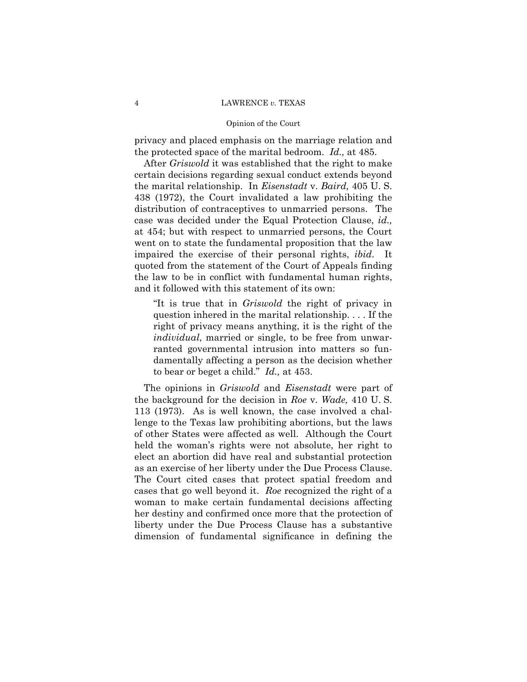#### Opinion of the Court

privacy and placed emphasis on the marriage relation and the protected space of the marital bedroom. *Id.,* at 485.

After *Griswold* it was established that the right to make certain decisions regarding sexual conduct extends beyond the marital relationship. In *Eisenstadt* v. *Baird,* 405 U. S. 438 (1972), the Court invalidated a law prohibiting the distribution of contraceptives to unmarried persons. The case was decided under the Equal Protection Clause, *id.,*  at 454; but with respect to unmarried persons, the Court went on to state the fundamental proposition that the law impaired the exercise of their personal rights, *ibid*. It quoted from the statement of the Court of Appeals finding the law to be in conflict with fundamental human rights, and it followed with this statement of its own:

"It is true that in *Griswold* the right of privacy in question inhered in the marital relationship. . . . If the right of privacy means anything, it is the right of the *individual*, married or single, to be free from unwarranted governmental intrusion into matters so fundamentally affecting a person as the decision whether to bear or beget a child." *Id.,* at 453.

The opinions in *Griswold* and *Eisenstadt* were part of the background for the decision in *Roe* v. *Wade,* 410 U. S. 113 (1973). As is well known, the case involved a challenge to the Texas law prohibiting abortions, but the laws of other States were affected as well. Although the Court held the woman's rights were not absolute, her right to elect an abortion did have real and substantial protection as an exercise of her liberty under the Due Process Clause. The Court cited cases that protect spatial freedom and cases that go well beyond it. *Roe* recognized the right of a woman to make certain fundamental decisions affecting her destiny and confirmed once more that the protection of liberty under the Due Process Clause has a substantive dimension of fundamental significance in defining the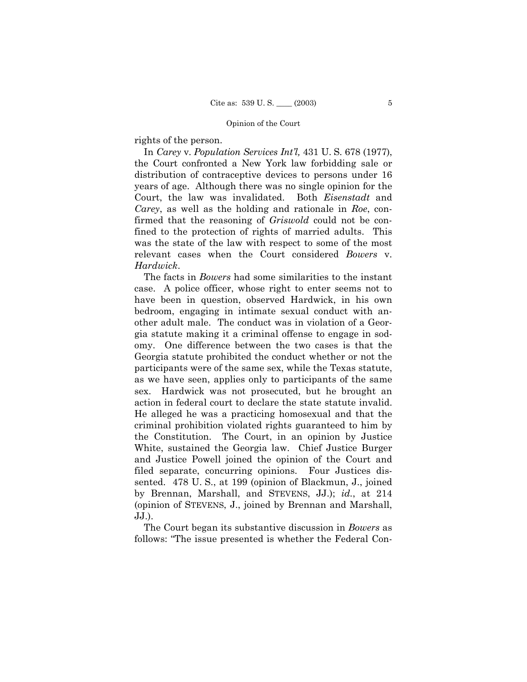#### Opinion of the Court

rights of the person.

In *Carey* v. *Population Services Int'l,* 431 U. S. 678 (1977), the Court confronted a New York law forbidding sale or distribution of contraceptive devices to persons under 16 years of age. Although there was no single opinion for the Court, the law was invalidated. Both *Eisenstadt* and *Carey*, as well as the holding and rationale in *Roe*, confirmed that the reasoning of *Griswold* could not be confined to the protection of rights of married adults. This was the state of the law with respect to some of the most relevant cases when the Court considered *Bowers* v. *Hardwick*.

The facts in *Bowers* had some similarities to the instant case. A police officer, whose right to enter seems not to have been in question, observed Hardwick, in his own bedroom, engaging in intimate sexual conduct with another adult male. The conduct was in violation of a Georgia statute making it a criminal offense to engage in sodomy. One difference between the two cases is that the Georgia statute prohibited the conduct whether or not the participants were of the same sex, while the Texas statute, as we have seen, applies only to participants of the same sex. Hardwick was not prosecuted, but he brought an action in federal court to declare the state statute invalid. He alleged he was a practicing homosexual and that the criminal prohibition violated rights guaranteed to him by the Constitution. The Court, in an opinion by Justice White, sustained the Georgia law. Chief Justice Burger and Justice Powell joined the opinion of the Court and filed separate, concurring opinions. Four Justices dissented. 478 U. S., at 199 (opinion of Blackmun, J., joined by Brennan, Marshall, and STEVENS, JJ.); *id.*, at 214 (opinion of STEVENS, J., joined by Brennan and Marshall, JJ.).

The Court began its substantive discussion in *Bowers* as follows: "The issue presented is whether the Federal Con-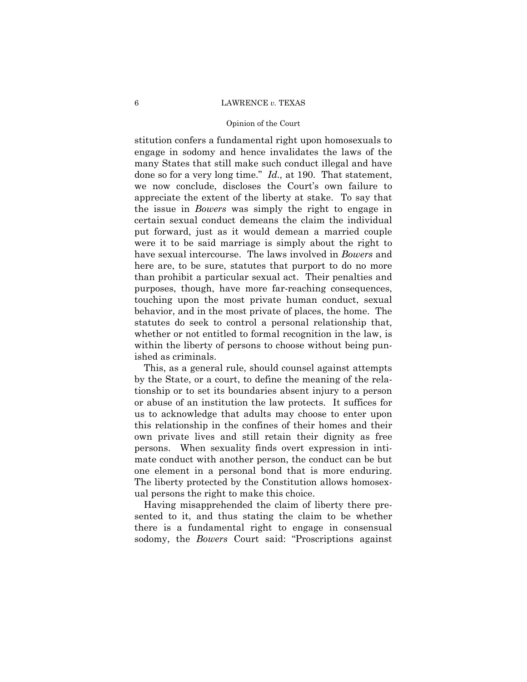#### Opinion of the Court

stitution confers a fundamental right upon homosexuals to engage in sodomy and hence invalidates the laws of the many States that still make such conduct illegal and have done so for a very long time." *Id.,* at 190. That statement, we now conclude, discloses the Court's own failure to appreciate the extent of the liberty at stake. To say that the issue in *Bowers* was simply the right to engage in certain sexual conduct demeans the claim the individual put forward, just as it would demean a married couple were it to be said marriage is simply about the right to have sexual intercourse. The laws involved in *Bowers* and here are, to be sure, statutes that purport to do no more than prohibit a particular sexual act. Their penalties and purposes, though, have more far-reaching consequences, touching upon the most private human conduct, sexual behavior, and in the most private of places, the home. The statutes do seek to control a personal relationship that, whether or not entitled to formal recognition in the law, is within the liberty of persons to choose without being punished as criminals.

This, as a general rule, should counsel against attempts by the State, or a court, to define the meaning of the relationship or to set its boundaries absent injury to a person or abuse of an institution the law protects. It suffices for us to acknowledge that adults may choose to enter upon this relationship in the confines of their homes and their own private lives and still retain their dignity as free persons. When sexuality finds overt expression in intimate conduct with another person, the conduct can be but one element in a personal bond that is more enduring. The liberty protected by the Constitution allows homosexual persons the right to make this choice.

Having misapprehended the claim of liberty there presented to it, and thus stating the claim to be whether there is a fundamental right to engage in consensual sodomy, the *Bowers* Court said: "Proscriptions against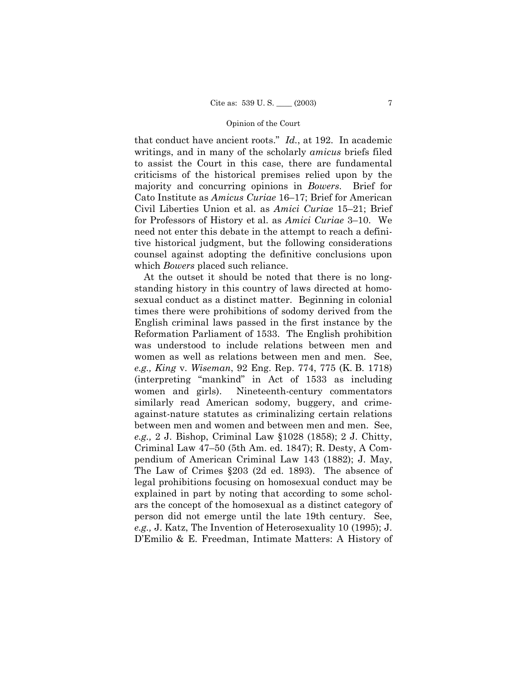#### Opinion of the Court

that conduct have ancient roots." *Id.*, at 192. In academic writings, and in many of the scholarly *amicus* briefs filed to assist the Court in this case, there are fundamental criticisms of the historical premises relied upon by the majority and concurring opinions in *Bowers*. Brief for Cato Institute as *Amicus Curiae* 16–17; Brief for American Civil Liberties Union et al. as *Amici Curiae* 15–21; Brief for Professors of History et al. as *Amici Curiae* 3–10. We need not enter this debate in the attempt to reach a definitive historical judgment, but the following considerations counsel against adopting the definitive conclusions upon which *Bowers* placed such reliance.

At the outset it should be noted that there is no longstanding history in this country of laws directed at homosexual conduct as a distinct matter. Beginning in colonial times there were prohibitions of sodomy derived from the English criminal laws passed in the first instance by the Reformation Parliament of 1533. The English prohibition was understood to include relations between men and women as well as relations between men and men. See, *e.g., King* v. *Wiseman*, 92 Eng. Rep. 774, 775 (K. B. 1718) (interpreting "mankind" in Act of 1533 as including women and girls). Nineteenth-century commentators similarly read American sodomy, buggery, and crimeagainst-nature statutes as criminalizing certain relations between men and women and between men and men. See, *e.g.,* 2 J. Bishop, Criminal Law §1028 (1858); 2 J. Chitty, Criminal Law 47–50 (5th Am. ed. 1847); R. Desty, A Compendium of American Criminal Law 143 (1882); J. May, The Law of Crimes §203 (2d ed. 1893). The absence of legal prohibitions focusing on homosexual conduct may be explained in part by noting that according to some scholars the concept of the homosexual as a distinct category of person did not emerge until the late 19th century. See, *e.g.,* J. Katz, The Invention of Heterosexuality 10 (1995); J. D'Emilio & E. Freedman, Intimate Matters: A History of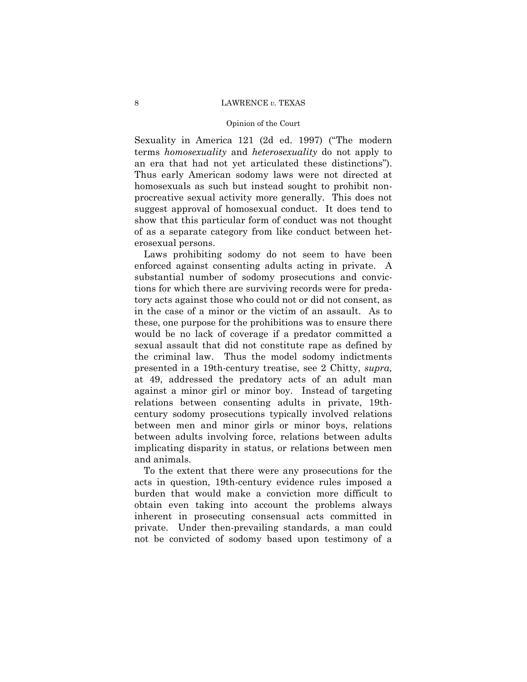# Opinion of the Court

Sexuality in America 121 (2d ed. 1997) ("The modern terms *homosexuality* and *heterosexuality* do not apply to an era that had not yet articulated these distinctions"). Thus early American sodomy laws were not directed at homosexuals as such but instead sought to prohibit nonprocreative sexual activity more generally. This does not suggest approval of homosexual conduct. It does tend to show that this particular form of conduct was not thought of as a separate category from like conduct between heterosexual persons.

Laws prohibiting sodomy do not seem to have been enforced against consenting adults acting in private. A substantial number of sodomy prosecutions and convictions for which there are surviving records were for predatory acts against those who could not or did not consent, as in the case of a minor or the victim of an assault. As to these, one purpose for the prohibitions was to ensure there would be no lack of coverage if a predator committed a sexual assault that did not constitute rape as defined by the criminal law. Thus the model sodomy indictments presented in a 19th-century treatise, see 2 Chitty, *supra,*  at 49, addressed the predatory acts of an adult man against a minor girl or minor boy. Instead of targeting relations between consenting adults in private, 19thcentury sodomy prosecutions typically involved relations between men and minor girls or minor boys, relations between adults involving force, relations between adults implicating disparity in status, or relations between men and animals.

To the extent that there were any prosecutions for the acts in question, 19th-century evidence rules imposed a burden that would make a conviction more difficult to obtain even taking into account the problems always inherent in prosecuting consensual acts committed in private. Under then-prevailing standards, a man could not be convicted of sodomy based upon testimony of a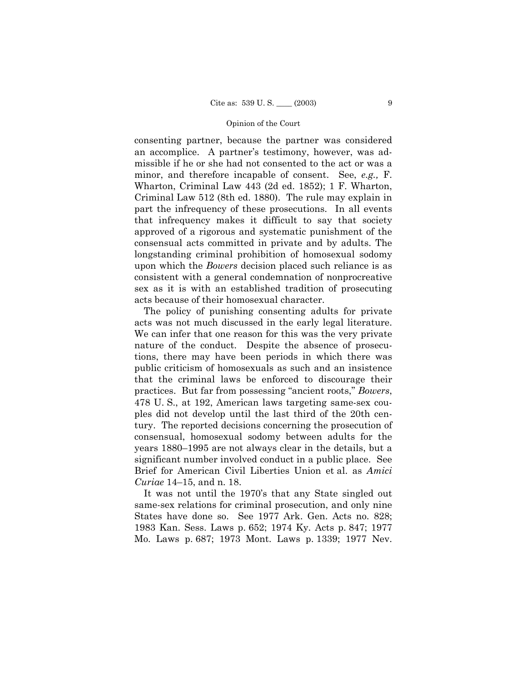#### Opinion of the Court

consenting partner, because the partner was considered an accomplice. A partner's testimony, however, was admissible if he or she had not consented to the act or was a minor, and therefore incapable of consent. See, *e.g.,* F. Wharton, Criminal Law 443 (2d ed. 1852); 1 F. Wharton, Criminal Law 512 (8th ed. 1880). The rule may explain in part the infrequency of these prosecutions. In all events that infrequency makes it difficult to say that society approved of a rigorous and systematic punishment of the consensual acts committed in private and by adults. The longstanding criminal prohibition of homosexual sodomy upon which the *Bowers* decision placed such reliance is as consistent with a general condemnation of nonprocreative sex as it is with an established tradition of prosecuting acts because of their homosexual character.

The policy of punishing consenting adults for private acts was not much discussed in the early legal literature. We can infer that one reason for this was the very private nature of the conduct. Despite the absence of prosecutions, there may have been periods in which there was public criticism of homosexuals as such and an insistence that the criminal laws be enforced to discourage their practices. But far from possessing "ancient roots," *Bowers*, 478 U. S., at 192, American laws targeting same-sex couples did not develop until the last third of the 20th century. The reported decisions concerning the prosecution of consensual, homosexual sodomy between adults for the years 1880–1995 are not always clear in the details, but a significant number involved conduct in a public place. See Brief for American Civil Liberties Union et al. as *Amici Curiae* 14–15, and n. 18.

It was not until the 1970's that any State singled out same-sex relations for criminal prosecution, and only nine States have done so. See 1977 Ark. Gen. Acts no. 828; 1983 Kan. Sess. Laws p. 652; 1974 Ky. Acts p. 847; 1977 Mo. Laws p. 687; 1973 Mont. Laws p. 1339; 1977 Nev.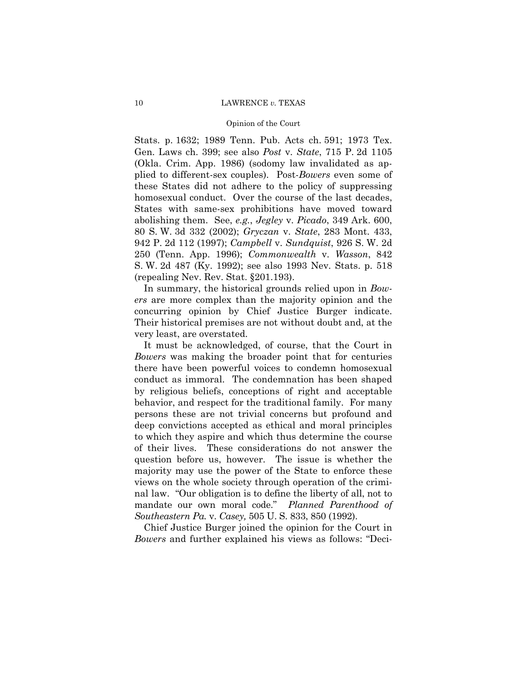#### Opinion of the Court

Stats. p. 1632; 1989 Tenn. Pub. Acts ch. 591; 1973 Tex. Gen. Laws ch. 399; see also *Post* v. *State*, 715 P. 2d 1105 (Okla. Crim. App. 1986) (sodomy law invalidated as applied to different-sex couples). Post-*Bowers* even some of these States did not adhere to the policy of suppressing homosexual conduct. Over the course of the last decades, States with same-sex prohibitions have moved toward abolishing them. See, *e.g.*, *Jegley* v. *Picado*, 349 Ark. 600, 80 S. W. 3d 332 (2002); *Gryczan* v. *State*, 283 Mont. 433, 942 P. 2d 112 (1997); *Campbell* v. *Sundquist*, 926 S. W. 2d 250 (Tenn. App. 1996); *Commonwealth* v. *Wasson*, 842 S. W. 2d 487 (Ky. 1992); see also 1993 Nev. Stats. p. 518 (repealing Nev. Rev. Stat. §201.193).

In summary, the historical grounds relied upon in *Bowers* are more complex than the majority opinion and the concurring opinion by Chief Justice Burger indicate. Their historical premises are not without doubt and, at the very least, are overstated.

It must be acknowledged, of course, that the Court in *Bowers* was making the broader point that for centuries there have been powerful voices to condemn homosexual conduct as immoral. The condemnation has been shaped by religious beliefs, conceptions of right and acceptable behavior, and respect for the traditional family. For many persons these are not trivial concerns but profound and deep convictions accepted as ethical and moral principles to which they aspire and which thus determine the course of their lives. These considerations do not answer the question before us, however. The issue is whether the majority may use the power of the State to enforce these views on the whole society through operation of the criminal law. "Our obligation is to define the liberty of all, not to mandate our own moral code." *Planned Parenthood of Southeastern Pa.* v. *Casey,* 505 U. S. 833, 850 (1992).

Chief Justice Burger joined the opinion for the Court in *Bowers* and further explained his views as follows: "Deci-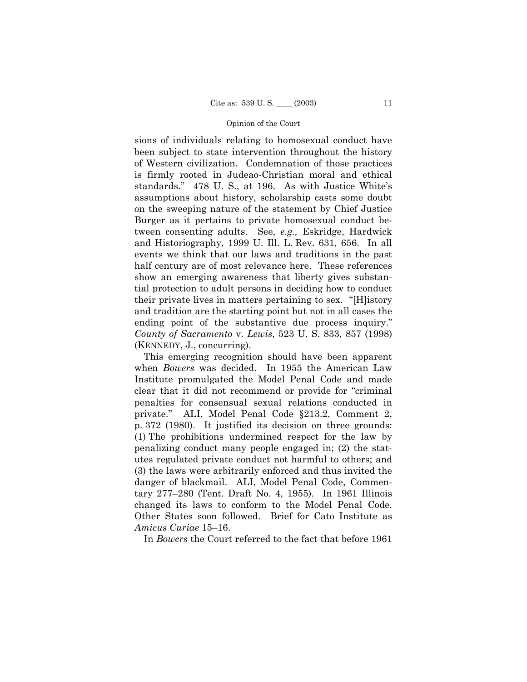#### Opinion of the Court

sions of individuals relating to homosexual conduct have been subject to state intervention throughout the history of Western civilization. Condemnation of those practices is firmly rooted in Judeao-Christian moral and ethical standards." 478 U. S., at 196. As with Justice White's assumptions about history, scholarship casts some doubt on the sweeping nature of the statement by Chief Justice Burger as it pertains to private homosexual conduct between consenting adults. See, *e.g.,* Eskridge, Hardwick and Historiography, 1999 U. Ill. L. Rev. 631, 656. In all events we think that our laws and traditions in the past half century are of most relevance here. These references show an emerging awareness that liberty gives substantial protection to adult persons in deciding how to conduct their private lives in matters pertaining to sex. "[H]istory and tradition are the starting point but not in all cases the ending point of the substantive due process inquiry." *County of Sacramento* v. *Lewis*, 523 U. S. 833, 857 (1998) (KENNEDY, J., concurring).

This emerging recognition should have been apparent when *Bowers* was decided. In 1955 the American Law Institute promulgated the Model Penal Code and made clear that it did not recommend or provide for "criminal penalties for consensual sexual relations conducted in private." ALI, Model Penal Code §213.2, Comment 2, p. 372 (1980). It justified its decision on three grounds: (1) The prohibitions undermined respect for the law by penalizing conduct many people engaged in; (2) the statutes regulated private conduct not harmful to others; and (3) the laws were arbitrarily enforced and thus invited the danger of blackmail. ALI, Model Penal Code, Commentary 277–280 (Tent. Draft No. 4, 1955). In 1961 Illinois changed its laws to conform to the Model Penal Code. Other States soon followed. Brief for Cato Institute as *Amicus Curiae* 15–16.

In *Bowers* the Court referred to the fact that before 1961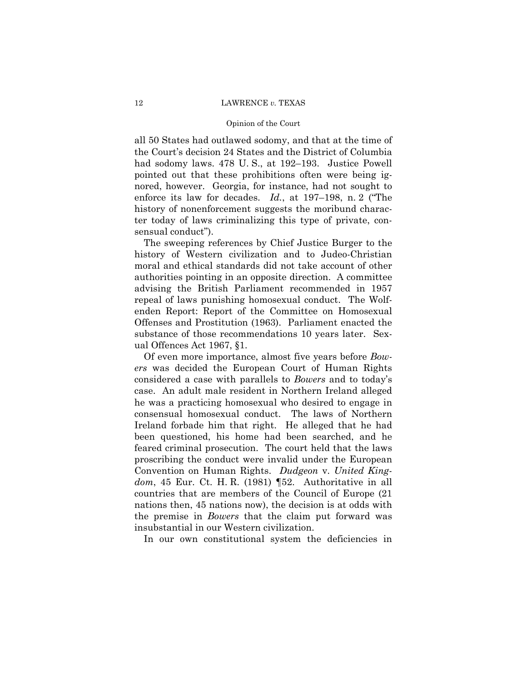#### Opinion of the Court

all 50 States had outlawed sodomy, and that at the time of the Court's decision 24 States and the District of Columbia had sodomy laws. 478 U. S., at 192–193. Justice Powell pointed out that these prohibitions often were being ignored, however. Georgia, for instance, had not sought to enforce its law for decades. *Id.*, at 197–198, n. 2 ("The history of nonenforcement suggests the moribund character today of laws criminalizing this type of private, consensual conduct").

The sweeping references by Chief Justice Burger to the history of Western civilization and to Judeo-Christian moral and ethical standards did not take account of other authorities pointing in an opposite direction. A committee advising the British Parliament recommended in 1957 repeal of laws punishing homosexual conduct. The Wolfenden Report: Report of the Committee on Homosexual Offenses and Prostitution (1963). Parliament enacted the substance of those recommendations 10 years later. Sexual Offences Act 1967, §1.

Of even more importance, almost five years before *Bowers* was decided the European Court of Human Rights considered a case with parallels to *Bowers* and to today's case. An adult male resident in Northern Ireland alleged he was a practicing homosexual who desired to engage in consensual homosexual conduct. The laws of Northern Ireland forbade him that right. He alleged that he had been questioned, his home had been searched, and he feared criminal prosecution. The court held that the laws proscribing the conduct were invalid under the European Convention on Human Rights. *Dudgeon* v. *United Kingdom*, 45 Eur. Ct. H. R. (1981) ¶52. Authoritative in all countries that are members of the Council of Europe (21 nations then, 45 nations now), the decision is at odds with the premise in *Bowers* that the claim put forward was insubstantial in our Western civilization.

In our own constitutional system the deficiencies in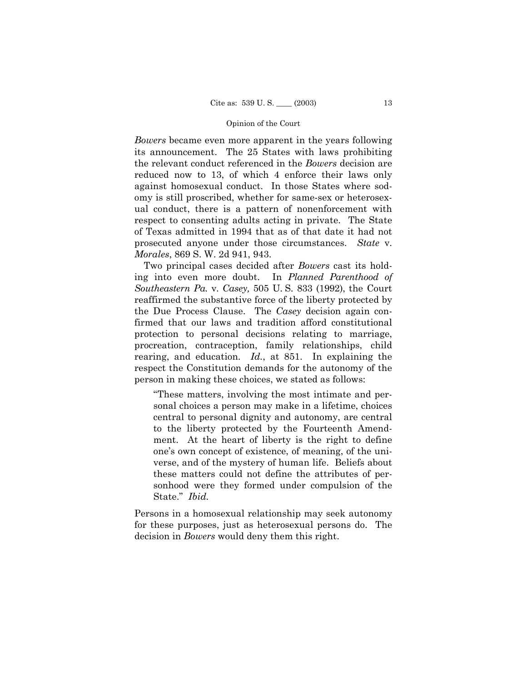#### Opinion of the Court

*Bowers* became even more apparent in the years following its announcement. The 25 States with laws prohibiting the relevant conduct referenced in the *Bowers* decision are reduced now to 13, of which 4 enforce their laws only against homosexual conduct. In those States where sodomy is still proscribed, whether for same-sex or heterosexual conduct, there is a pattern of nonenforcement with respect to consenting adults acting in private. The State of Texas admitted in 1994 that as of that date it had not prosecuted anyone under those circumstances. *State* v. *Morales*, 869 S. W. 2d 941, 943.

Two principal cases decided after *Bowers* cast its holding into even more doubt. In *Planned Parenthood of Southeastern Pa.* v. *Casey,* 505 U. S. 833 (1992), the Court reaffirmed the substantive force of the liberty protected by the Due Process Clause. The *Casey* decision again confirmed that our laws and tradition afford constitutional protection to personal decisions relating to marriage, procreation, contraception, family relationships, child rearing, and education. *Id.*, at 851. In explaining the respect the Constitution demands for the autonomy of the person in making these choices, we stated as follows:

"These matters, involving the most intimate and personal choices a person may make in a lifetime, choices central to personal dignity and autonomy, are central to the liberty protected by the Fourteenth Amendment. At the heart of liberty is the right to define one's own concept of existence, of meaning, of the universe, and of the mystery of human life. Beliefs about these matters could not define the attributes of personhood were they formed under compulsion of the State." *Ibid.* 

Persons in a homosexual relationship may seek autonomy for these purposes, just as heterosexual persons do. The decision in *Bowers* would deny them this right.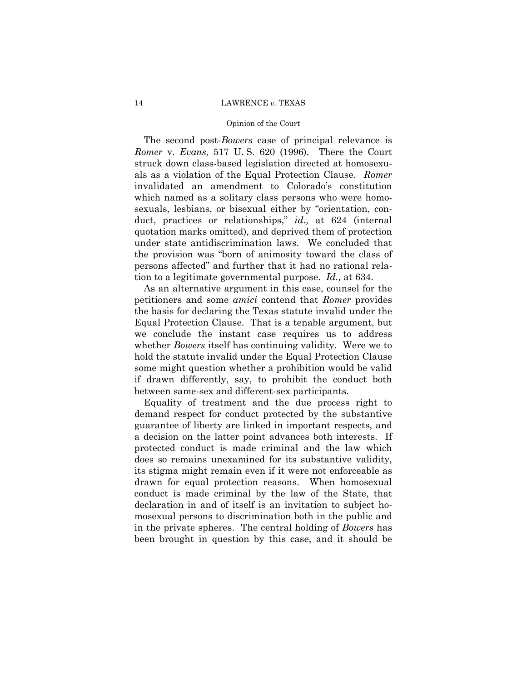#### Opinion of the Court

The second post-*Bowers* case of principal relevance is *Romer* v. *Evans,* 517 U. S. 620 (1996). There the Court struck down class-based legislation directed at homosexuals as a violation of the Equal Protection Clause. *Romer*  invalidated an amendment to Colorado's constitution which named as a solitary class persons who were homosexuals, lesbians, or bisexual either by "orientation, conduct, practices or relationships," *id.,* at 624 (internal quotation marks omitted), and deprived them of protection under state antidiscrimination laws. We concluded that the provision was "born of animosity toward the class of persons affected" and further that it had no rational relation to a legitimate governmental purpose. *Id.,* at 634.

As an alternative argument in this case, counsel for the petitioners and some *amici* contend that *Romer* provides the basis for declaring the Texas statute invalid under the Equal Protection Clause. That is a tenable argument, but we conclude the instant case requires us to address whether *Bowers* itself has continuing validity. Were we to hold the statute invalid under the Equal Protection Clause some might question whether a prohibition would be valid if drawn differently, say, to prohibit the conduct both between same-sex and different-sex participants.

Equality of treatment and the due process right to demand respect for conduct protected by the substantive guarantee of liberty are linked in important respects, and a decision on the latter point advances both interests. If protected conduct is made criminal and the law which does so remains unexamined for its substantive validity, its stigma might remain even if it were not enforceable as drawn for equal protection reasons. When homosexual conduct is made criminal by the law of the State, that declaration in and of itself is an invitation to subject homosexual persons to discrimination both in the public and in the private spheres. The central holding of *Bowers* has been brought in question by this case, and it should be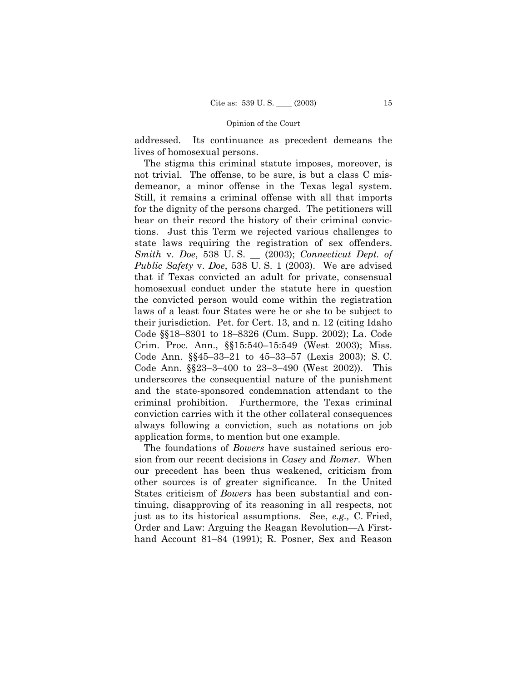#### Opinion of the Court

addressed. Its continuance as precedent demeans the lives of homosexual persons.

The stigma this criminal statute imposes, moreover, is not trivial. The offense, to be sure, is but a class C misdemeanor, a minor offense in the Texas legal system. Still, it remains a criminal offense with all that imports for the dignity of the persons charged. The petitioners will bear on their record the history of their criminal convictions. Just this Term we rejected various challenges to state laws requiring the registration of sex offenders. *Smith* v. *Doe*, 538 U. S. \_\_ (2003); *Connecticut Dept. of Public Safety* v. *Doe*, 538 U. S. 1 (2003). We are advised that if Texas convicted an adult for private, consensual homosexual conduct under the statute here in question the convicted person would come within the registration laws of a least four States were he or she to be subject to their jurisdiction. Pet. for Cert. 13, and n. 12 (citing Idaho Code §§18–8301 to 18–8326 (Cum. Supp. 2002); La. Code Crim. Proc. Ann., §§15:540–15:549 (West 2003); Miss. Code Ann. §§45–33–21 to 45–33–57 (Lexis 2003); S. C. Code Ann. §§23–3–400 to 23–3–490 (West 2002)). This underscores the consequential nature of the punishment and the state-sponsored condemnation attendant to the criminal prohibition. Furthermore, the Texas criminal conviction carries with it the other collateral consequences always following a conviction, such as notations on job application forms, to mention but one example.

The foundations of *Bowers* have sustained serious erosion from our recent decisions in *Casey* and *Romer*. When our precedent has been thus weakened, criticism from other sources is of greater significance. In the United States criticism of *Bowers* has been substantial and continuing, disapproving of its reasoning in all respects, not just as to its historical assumptions. See, *e.g.,* C. Fried, Order and Law: Arguing the Reagan Revolution—A Firsthand Account 81–84 (1991); R. Posner, Sex and Reason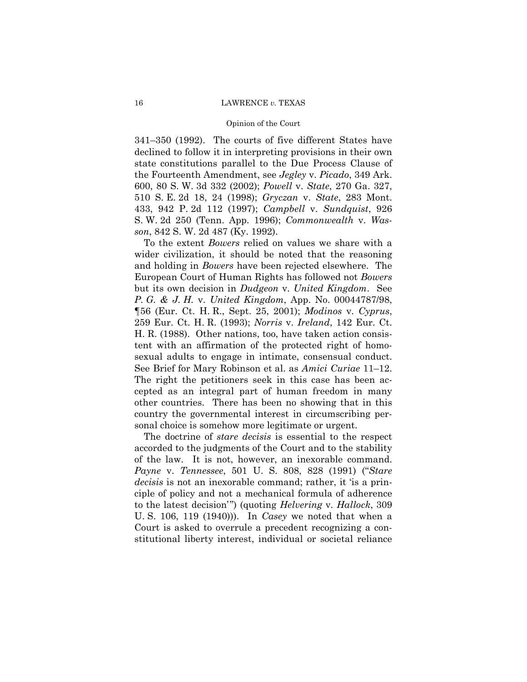#### Opinion of the Court

341–350 (1992). The courts of five different States have declined to follow it in interpreting provisions in their own state constitutions parallel to the Due Process Clause of the Fourteenth Amendment, see *Jegley* v. *Picado*, 349 Ark. 600, 80 S. W. 3d 332 (2002); *Powell* v. *State*, 270 Ga. 327, 510 S. E. 2d 18, 24 (1998); *Gryczan* v. *State*, 283 Mont. 433, 942 P. 2d 112 (1997); *Campbell* v. *Sundquist*, 926 S. W. 2d 250 (Tenn. App. 1996); *Commonwealth* v. *Wasson*, 842 S. W. 2d 487 (Ky. 1992).

To the extent *Bowers* relied on values we share with a wider civilization, it should be noted that the reasoning and holding in *Bowers* have been rejected elsewhere. The European Court of Human Rights has followed not *Bowers*  but its own decision in *Dudgeon* v. *United Kingdom*. See *P. G. & J. H.* v. *United Kingdom*, App. No. 00044787/98, ¶56 (Eur. Ct. H. R., Sept. 25, 2001); *Modinos* v. *Cyprus*, 259 Eur. Ct. H. R. (1993); *Norris* v. *Ireland*, 142 Eur. Ct. H. R. (1988). Other nations, too, have taken action consistent with an affirmation of the protected right of homosexual adults to engage in intimate, consensual conduct. See Brief for Mary Robinson et al. as *Amici Curiae* 11–12. The right the petitioners seek in this case has been accepted as an integral part of human freedom in many other countries. There has been no showing that in this country the governmental interest in circumscribing personal choice is somehow more legitimate or urgent.

The doctrine of *stare decisis* is essential to the respect accorded to the judgments of the Court and to the stability of the law. It is not, however, an inexorable command. *Payne* v. *Tennessee*, 501 U. S. 808, 828 (1991) ("*Stare decisis* is not an inexorable command; rather, it 'is a principle of policy and not a mechanical formula of adherence to the latest decision'") (quoting *Helvering* v. *Hallock*, 309 U. S. 106, 119 (1940))). In *Casey* we noted that when a Court is asked to overrule a precedent recognizing a constitutional liberty interest, individual or societal reliance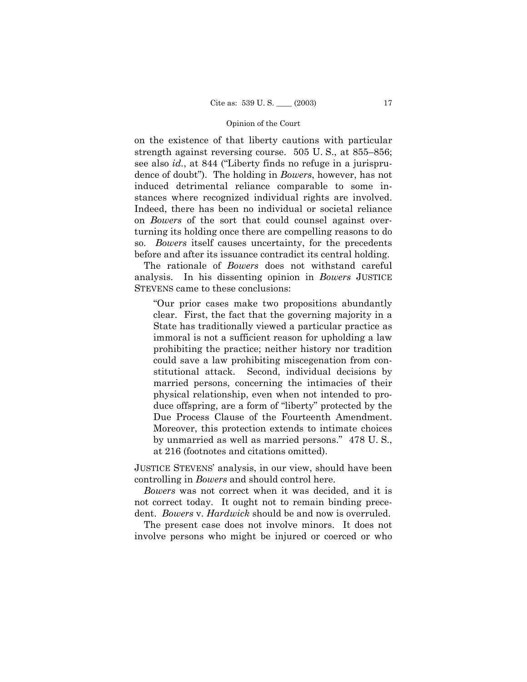#### Opinion of the Court

on the existence of that liberty cautions with particular strength against reversing course. 505 U. S., at 855–856; see also *id.*, at 844 ("Liberty finds no refuge in a jurisprudence of doubt"). The holding in *Bowers*, however, has not induced detrimental reliance comparable to some instances where recognized individual rights are involved. Indeed, there has been no individual or societal reliance on *Bowers* of the sort that could counsel against overturning its holding once there are compelling reasons to do so. *Bowers* itself causes uncertainty, for the precedents before and after its issuance contradict its central holding.

The rationale of *Bowers* does not withstand careful analysis. In his dissenting opinion in *Bowers* JUSTICE STEVENS came to these conclusions:

"Our prior cases make two propositions abundantly clear. First, the fact that the governing majority in a State has traditionally viewed a particular practice as immoral is not a sufficient reason for upholding a law prohibiting the practice; neither history nor tradition could save a law prohibiting miscegenation from constitutional attack. Second, individual decisions by married persons, concerning the intimacies of their physical relationship, even when not intended to produce offspring, are a form of "liberty" protected by the Due Process Clause of the Fourteenth Amendment. Moreover, this protection extends to intimate choices by unmarried as well as married persons." 478 U. S., at 216 (footnotes and citations omitted).

JUSTICE STEVENS' analysis, in our view, should have been controlling in *Bowers* and should control here.

*Bowers* was not correct when it was decided, and it is not correct today. It ought not to remain binding precedent. *Bowers* v. *Hardwick* should be and now is overruled.

The present case does not involve minors. It does not involve persons who might be injured or coerced or who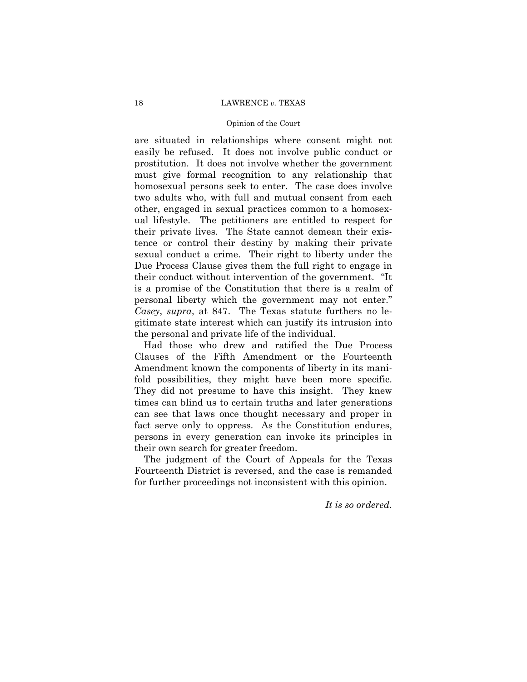#### Opinion of the Court

are situated in relationships where consent might not easily be refused. It does not involve public conduct or prostitution. It does not involve whether the government must give formal recognition to any relationship that homosexual persons seek to enter. The case does involve two adults who, with full and mutual consent from each other, engaged in sexual practices common to a homosexual lifestyle. The petitioners are entitled to respect for their private lives. The State cannot demean their existence or control their destiny by making their private sexual conduct a crime. Their right to liberty under the Due Process Clause gives them the full right to engage in their conduct without intervention of the government. "It is a promise of the Constitution that there is a realm of personal liberty which the government may not enter." *Casey*, *supra*, at 847. The Texas statute furthers no legitimate state interest which can justify its intrusion into the personal and private life of the individual.

Had those who drew and ratified the Due Process Clauses of the Fifth Amendment or the Fourteenth Amendment known the components of liberty in its manifold possibilities, they might have been more specific. They did not presume to have this insight. They knew times can blind us to certain truths and later generations can see that laws once thought necessary and proper in fact serve only to oppress. As the Constitution endures, persons in every generation can invoke its principles in their own search for greater freedom.

The judgment of the Court of Appeals for the Texas Fourteenth District is reversed, and the case is remanded for further proceedings not inconsistent with this opinion.

*It is so ordered.*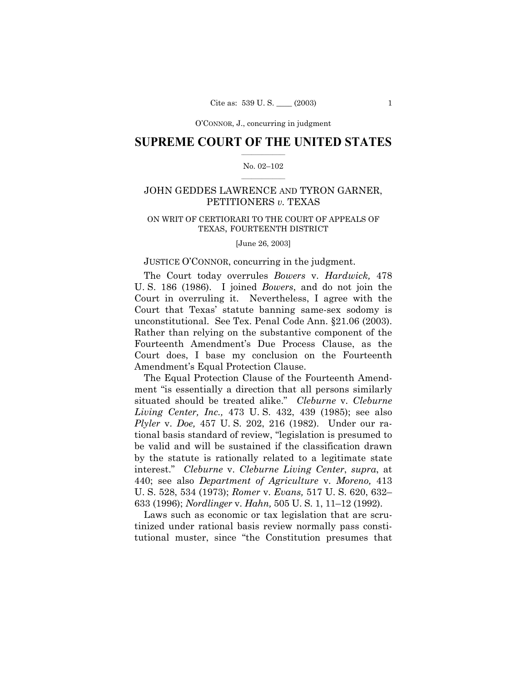# **SUPREME COURT OF THE UNITED STATES**  $\frac{1}{2}$  ,  $\frac{1}{2}$  ,  $\frac{1}{2}$  ,  $\frac{1}{2}$  ,  $\frac{1}{2}$  ,  $\frac{1}{2}$

#### No. 02–102  $\frac{1}{2}$  ,  $\frac{1}{2}$  ,  $\frac{1}{2}$  ,  $\frac{1}{2}$  ,  $\frac{1}{2}$  ,  $\frac{1}{2}$  ,  $\frac{1}{2}$

# JOHN GEDDES LAWRENCE AND TYRON GARNER, PETITIONERS *v.* TEXAS

# ON WRIT OF CERTIORARI TO THE COURT OF APPEALS OF TEXAS, FOURTEENTH DISTRICT

[June 26, 2003]

# JUSTICE O'CONNOR, concurring in the judgment.

The Court today overrules *Bowers* v. *Hardwick,* 478 U. S. 186 (1986). I joined *Bowers*, and do not join the Court in overruling it. Nevertheless, I agree with the Court that Texas' statute banning same-sex sodomy is unconstitutional. See Tex. Penal Code Ann. §21.06 (2003). Rather than relying on the substantive component of the Fourteenth Amendment's Due Process Clause, as the Court does, I base my conclusion on the Fourteenth Amendment's Equal Protection Clause.

The Equal Protection Clause of the Fourteenth Amendment "is essentially a direction that all persons similarly situated should be treated alike." *Cleburne* v. *Cleburne Living Center, Inc.,* 473 U. S. 432, 439 (1985); see also *Plyler* v. *Doe,* 457 U. S. 202, 216 (1982). Under our rational basis standard of review, "legislation is presumed to be valid and will be sustained if the classification drawn by the statute is rationally related to a legitimate state interest." *Cleburne* v. *Cleburne Living Center*, *supra*, at 440; see also *Department of Agriculture* v. *Moreno,* 413 U. S. 528, 534 (1973); *Romer* v. *Evans,* 517 U. S. 620, 632– 633 (1996); *Nordlinger* v. *Hahn,* 505 U. S. 1, 11–12 (1992).

Laws such as economic or tax legislation that are scrutinized under rational basis review normally pass constitutional muster, since "the Constitution presumes that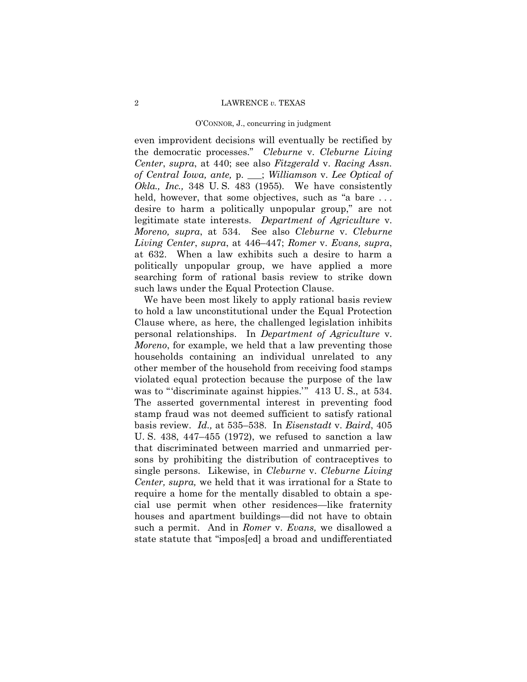even improvident decisions will eventually be rectified by the democratic processes." *Cleburne* v. *Cleburne Living Center*, *supra*, at 440; see also *Fitzgerald* v. *Racing Assn. of Central Iowa, ante,* p. \_\_\_; *Williamson* v. *Lee Optical of Okla., Inc.,* 348 U. S. 483 (1955). We have consistently held, however, that some objectives, such as "a bare ... desire to harm a politically unpopular group," are not legitimate state interests. *Department of Agriculture* v. *Moreno, supra*, at 534. See also *Cleburne* v. *Cleburne Living Center*, *supra*, at 446–447; *Romer* v. *Evans, supra*, at 632. When a law exhibits such a desire to harm a politically unpopular group, we have applied a more searching form of rational basis review to strike down such laws under the Equal Protection Clause.

We have been most likely to apply rational basis review to hold a law unconstitutional under the Equal Protection Clause where, as here, the challenged legislation inhibits personal relationships. In *Department of Agriculture* v. *Moreno*, for example, we held that a law preventing those households containing an individual unrelated to any other member of the household from receiving food stamps violated equal protection because the purpose of the law was to "'discriminate against hippies.'" 413 U. S., at 534. The asserted governmental interest in preventing food stamp fraud was not deemed sufficient to satisfy rational basis review. *Id.,* at 535–538. In *Eisenstadt* v. *Baird*, 405 U. S. 438, 447–455 (1972), we refused to sanction a law that discriminated between married and unmarried persons by prohibiting the distribution of contraceptives to single persons. Likewise, in *Cleburne* v. *Cleburne Living Center, supra,* we held that it was irrational for a State to require a home for the mentally disabled to obtain a special use permit when other residences—like fraternity houses and apartment buildings—did not have to obtain such a permit. And in *Romer* v. *Evans,* we disallowed a state statute that "impos[ed] a broad and undifferentiated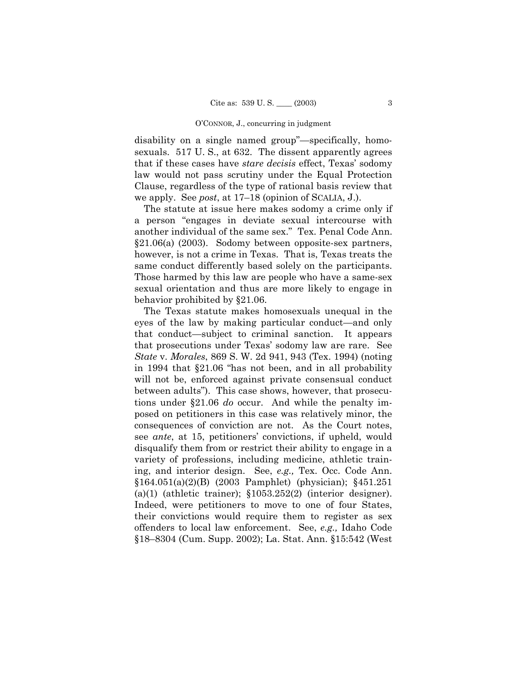disability on a single named group"—specifically, homosexuals. 517 U. S., at 632. The dissent apparently agrees that if these cases have *stare decisis* effect, Texas' sodomy law would not pass scrutiny under the Equal Protection Clause, regardless of the type of rational basis review that we apply. See *post*, at 17–18 (opinion of SCALIA, J.).

The statute at issue here makes sodomy a crime only if a person "engages in deviate sexual intercourse with another individual of the same sex." Tex. Penal Code Ann. §21.06(a) (2003). Sodomy between opposite-sex partners, however, is not a crime in Texas. That is, Texas treats the same conduct differently based solely on the participants. Those harmed by this law are people who have a same-sex sexual orientation and thus are more likely to engage in behavior prohibited by §21.06.

The Texas statute makes homosexuals unequal in the eyes of the law by making particular conduct—and only that conduct—subject to criminal sanction. It appears that prosecutions under Texas' sodomy law are rare. See *State* v. *Morales*, 869 S. W. 2d 941, 943 (Tex. 1994) (noting in 1994 that §21.06 "has not been, and in all probability will not be, enforced against private consensual conduct between adults"). This case shows, however, that prosecutions under §21.06 *do* occur. And while the penalty imposed on petitioners in this case was relatively minor, the consequences of conviction are not. As the Court notes, see *ante*, at 15, petitioners' convictions, if upheld, would disqualify them from or restrict their ability to engage in a variety of professions, including medicine, athletic training, and interior design. See, *e.g.,* Tex. Occ. Code Ann. §164.051(a)(2)(B) (2003 Pamphlet) (physician); §451.251 (a)(1) (athletic trainer);  $$1053.252(2)$  (interior designer). Indeed, were petitioners to move to one of four States, their convictions would require them to register as sex offenders to local law enforcement. See, *e.g.,* Idaho Code §18–8304 (Cum. Supp. 2002); La. Stat. Ann. §15:542 (West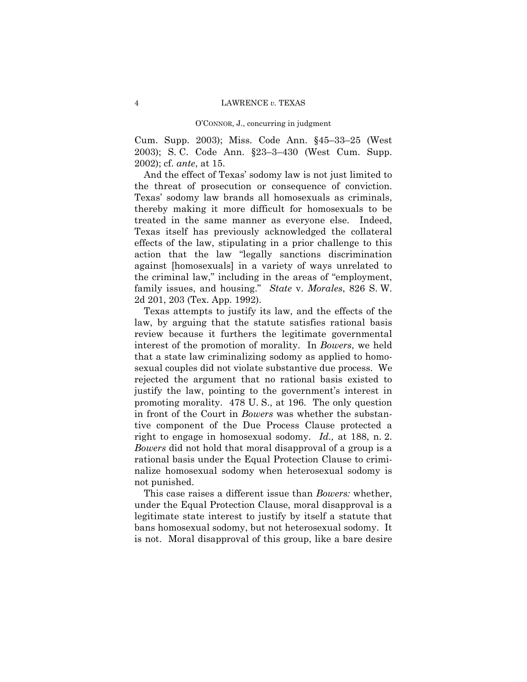Cum. Supp. 2003); Miss. Code Ann. §45–33–25 (West 2003); S. C. Code Ann. §23–3–430 (West Cum. Supp. 2002); cf. *ante*, at 15.

And the effect of Texas' sodomy law is not just limited to the threat of prosecution or consequence of conviction. Texas' sodomy law brands all homosexuals as criminals, thereby making it more difficult for homosexuals to be treated in the same manner as everyone else. Indeed, Texas itself has previously acknowledged the collateral effects of the law, stipulating in a prior challenge to this action that the law "legally sanctions discrimination against [homosexuals] in a variety of ways unrelated to the criminal law," including in the areas of "employment, family issues, and housing." *State* v. *Morales*, 826 S. W. 2d 201, 203 (Tex. App. 1992).

Texas attempts to justify its law, and the effects of the law, by arguing that the statute satisfies rational basis review because it furthers the legitimate governmental interest of the promotion of morality. In *Bowers*, we held that a state law criminalizing sodomy as applied to homosexual couples did not violate substantive due process. We rejected the argument that no rational basis existed to justify the law, pointing to the government's interest in promoting morality. 478 U. S., at 196. The only question in front of the Court in *Bowers* was whether the substantive component of the Due Process Clause protected a right to engage in homosexual sodomy. *Id.,* at 188, n. 2. *Bowers* did not hold that moral disapproval of a group is a rational basis under the Equal Protection Clause to criminalize homosexual sodomy when heterosexual sodomy is not punished.

This case raises a different issue than *Bowers:* whether, under the Equal Protection Clause, moral disapproval is a legitimate state interest to justify by itself a statute that bans homosexual sodomy, but not heterosexual sodomy. It is not. Moral disapproval of this group, like a bare desire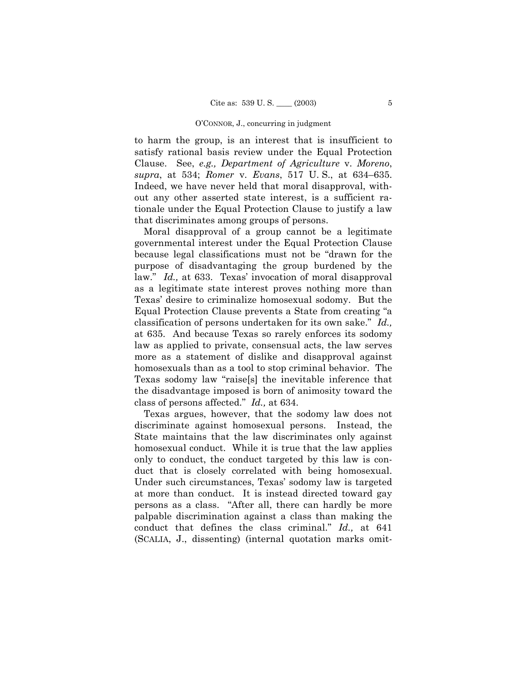to harm the group, is an interest that is insufficient to satisfy rational basis review under the Equal Protection Clause. See, *e.g., Department of Agriculture* v. *Moreno*, *supra*, at 534; *Romer* v. *Evans*, 517 U. S., at 634–635. Indeed, we have never held that moral disapproval, without any other asserted state interest, is a sufficient rationale under the Equal Protection Clause to justify a law that discriminates among groups of persons.

Moral disapproval of a group cannot be a legitimate governmental interest under the Equal Protection Clause because legal classifications must not be "drawn for the purpose of disadvantaging the group burdened by the law." *Id.,* at 633. Texas' invocation of moral disapproval as a legitimate state interest proves nothing more than Texas' desire to criminalize homosexual sodomy. But the Equal Protection Clause prevents a State from creating "a classification of persons undertaken for its own sake." *Id.,*  at 635. And because Texas so rarely enforces its sodomy law as applied to private, consensual acts, the law serves more as a statement of dislike and disapproval against homosexuals than as a tool to stop criminal behavior. The Texas sodomy law "raise[s] the inevitable inference that the disadvantage imposed is born of animosity toward the class of persons affected." *Id.,* at 634.

Texas argues, however, that the sodomy law does not discriminate against homosexual persons. Instead, the State maintains that the law discriminates only against homosexual conduct. While it is true that the law applies only to conduct, the conduct targeted by this law is conduct that is closely correlated with being homosexual. Under such circumstances, Texas' sodomy law is targeted at more than conduct. It is instead directed toward gay persons as a class. "After all, there can hardly be more palpable discrimination against a class than making the conduct that defines the class criminal." *Id.,* at 641 (SCALIA, J., dissenting) (internal quotation marks omit-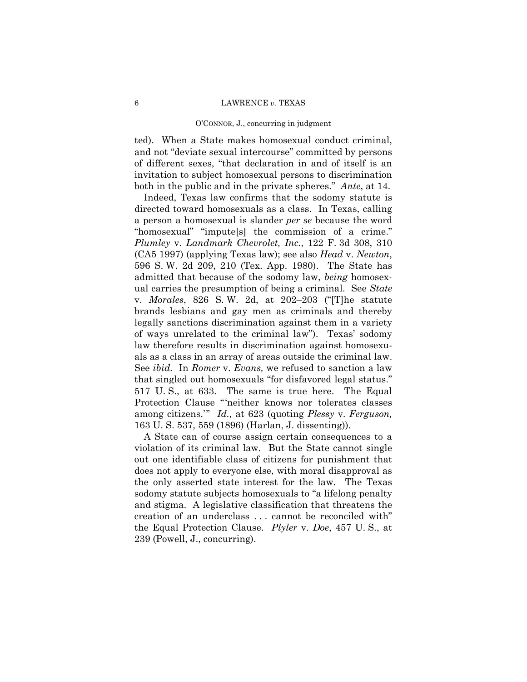ted). When a State makes homosexual conduct criminal, and not "deviate sexual intercourse" committed by persons of different sexes, "that declaration in and of itself is an invitation to subject homosexual persons to discrimination both in the public and in the private spheres." *Ante*, at 14.

Indeed, Texas law confirms that the sodomy statute is directed toward homosexuals as a class. In Texas, calling a person a homosexual is slander *per se* because the word "homosexual" "impute[s] the commission of a crime." *Plumley* v. *Landmark Chevrolet, Inc.*, 122 F. 3d 308, 310 (CA5 1997) (applying Texas law); see also *Head* v. *Newton*, 596 S. W. 2d 209, 210 (Tex. App. 1980). The State has admitted that because of the sodomy law, *being* homosexual carries the presumption of being a criminal. See *State*  v. *Morales*, 826 S. W. 2d, at 202–203 ("[T]he statute brands lesbians and gay men as criminals and thereby legally sanctions discrimination against them in a variety of ways unrelated to the criminal law"). Texas' sodomy law therefore results in discrimination against homosexuals as a class in an array of areas outside the criminal law. See *ibid.* In *Romer* v. *Evans,* we refused to sanction a law that singled out homosexuals "for disfavored legal status." 517 U. S., at 633. The same is true here. The Equal Protection Clause "'neither knows nor tolerates classes among citizens.'" *Id.,* at 623 (quoting *Plessy* v. *Ferguson,*  163 U. S. 537, 559 (1896) (Harlan, J. dissenting)).

A State can of course assign certain consequences to a violation of its criminal law. But the State cannot single out one identifiable class of citizens for punishment that does not apply to everyone else, with moral disapproval as the only asserted state interest for the law. The Texas sodomy statute subjects homosexuals to "a lifelong penalty and stigma. A legislative classification that threatens the creation of an underclass . . . cannot be reconciled with" the Equal Protection Clause. *Plyler* v. *Doe*, 457 U. S., at 239 (Powell, J., concurring).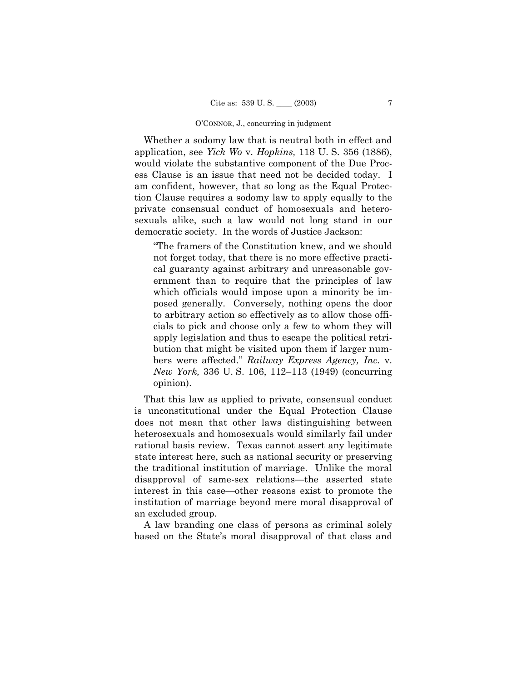Whether a sodomy law that is neutral both in effect and application, see *Yick Wo* v. *Hopkins,* 118 U. S. 356 (1886), would violate the substantive component of the Due Process Clause is an issue that need not be decided today. I am confident, however, that so long as the Equal Protection Clause requires a sodomy law to apply equally to the private consensual conduct of homosexuals and heterosexuals alike, such a law would not long stand in our democratic society. In the words of Justice Jackson:

"The framers of the Constitution knew, and we should not forget today, that there is no more effective practical guaranty against arbitrary and unreasonable government than to require that the principles of law which officials would impose upon a minority be imposed generally. Conversely, nothing opens the door to arbitrary action so effectively as to allow those officials to pick and choose only a few to whom they will apply legislation and thus to escape the political retribution that might be visited upon them if larger numbers were affected." *Railway Express Agency, Inc.* v. *New York,* 336 U. S. 106, 112–113 (1949) (concurring opinion).

That this law as applied to private, consensual conduct is unconstitutional under the Equal Protection Clause does not mean that other laws distinguishing between heterosexuals and homosexuals would similarly fail under rational basis review. Texas cannot assert any legitimate state interest here, such as national security or preserving the traditional institution of marriage. Unlike the moral disapproval of same-sex relations—the asserted state interest in this case—other reasons exist to promote the institution of marriage beyond mere moral disapproval of an excluded group.

A law branding one class of persons as criminal solely based on the State's moral disapproval of that class and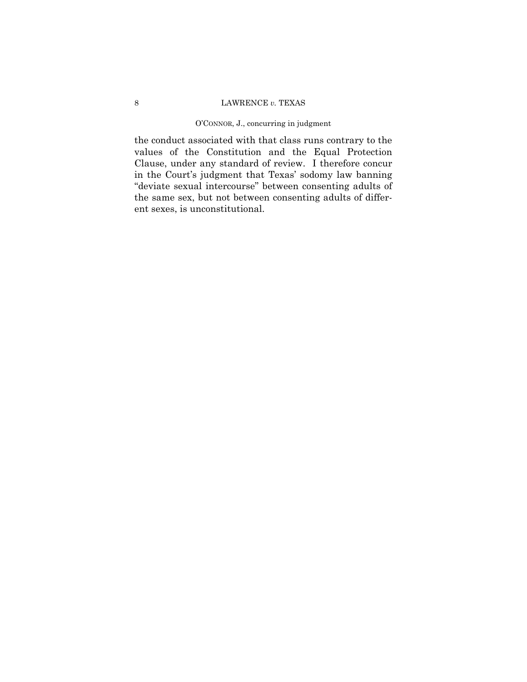the conduct associated with that class runs contrary to the values of the Constitution and the Equal Protection Clause, under any standard of review. I therefore concur in the Court's judgment that Texas' sodomy law banning "deviate sexual intercourse" between consenting adults of the same sex, but not between consenting adults of different sexes, is unconstitutional.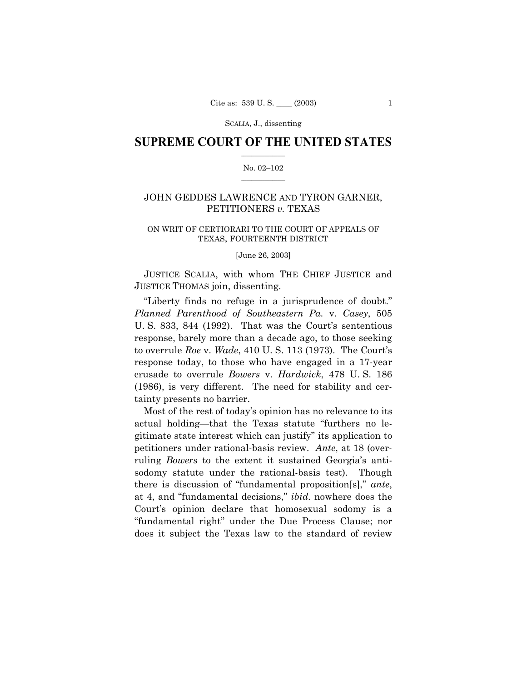# **SUPREME COURT OF THE UNITED STATES**  $\frac{1}{2}$  ,  $\frac{1}{2}$  ,  $\frac{1}{2}$  ,  $\frac{1}{2}$  ,  $\frac{1}{2}$  ,  $\frac{1}{2}$

#### No. 02–102  $\frac{1}{2}$  ,  $\frac{1}{2}$  ,  $\frac{1}{2}$  ,  $\frac{1}{2}$  ,  $\frac{1}{2}$  ,  $\frac{1}{2}$

# JOHN GEDDES LAWRENCE AND TYRON GARNER, PETITIONERS *v.* TEXAS

### ON WRIT OF CERTIORARI TO THE COURT OF APPEALS OF TEXAS, FOURTEENTH DISTRICT

#### [June 26, 2003]

JUSTICE SCALIA, with whom THE CHIEF JUSTICE and JUSTICE THOMAS join, dissenting.

"Liberty finds no refuge in a jurisprudence of doubt." *Planned Parenthood of Southeastern Pa.* v. *Casey*, 505 U. S. 833, 844 (1992). That was the Court's sententious response, barely more than a decade ago, to those seeking to overrule *Roe* v. *Wade*, 410 U. S. 113 (1973). The Court's response today, to those who have engaged in a 17-year crusade to overrule *Bowers* v. *Hardwick*, 478 U. S. 186 (1986), is very different. The need for stability and certainty presents no barrier.

Most of the rest of today's opinion has no relevance to its actual holding—that the Texas statute "furthers no legitimate state interest which can justify" its application to petitioners under rational-basis review. *Ante*, at 18 (overruling *Bowers* to the extent it sustained Georgia's antisodomy statute under the rational-basis test). Though there is discussion of "fundamental proposition[s]," *ante*, at 4, and "fundamental decisions," *ibid.* nowhere does the Court's opinion declare that homosexual sodomy is a "fundamental right" under the Due Process Clause; nor does it subject the Texas law to the standard of review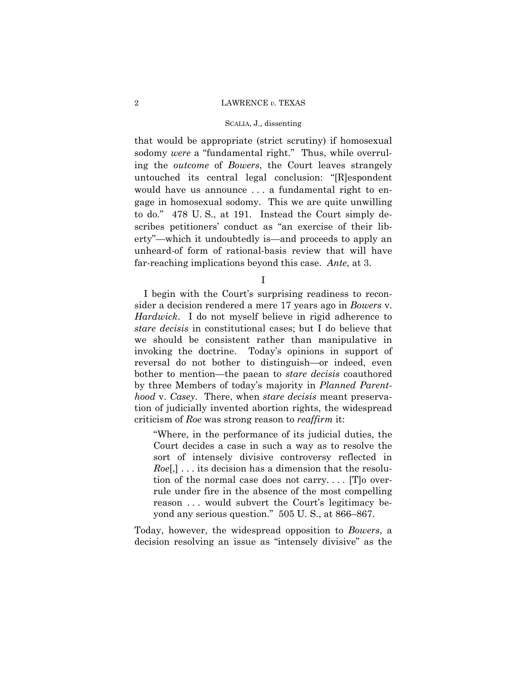#### SCALIA, J., dissenting

that would be appropriate (strict scrutiny) if homosexual sodomy *were* a "fundamental right." Thus, while overruling the *outcome* of *Bowers*, the Court leaves strangely untouched its central legal conclusion: "[R]espondent would have us announce . . . a fundamental right to engage in homosexual sodomy. This we are quite unwilling to do." 478 U. S., at 191. Instead the Court simply describes petitioners' conduct as "an exercise of their liberty"—which it undoubtedly is—and proceeds to apply an unheard-of form of rational-basis review that will have far-reaching implications beyond this case. *Ante*, at 3.

I

I begin with the Court's surprising readiness to reconsider a decision rendered a mere 17 years ago in *Bowers* v. *Hardwick*. I do not myself believe in rigid adherence to *stare decisis* in constitutional cases; but I do believe that we should be consistent rather than manipulative in invoking the doctrine. Today's opinions in support of reversal do not bother to distinguish—or indeed, even bother to mention—the paean to *stare decisis* coauthored by three Members of today's majority in *Planned Parenthood* v. *Casey*. There, when *stare decisis* meant preservation of judicially invented abortion rights, the widespread criticism of *Roe* was strong reason to *reaffirm* it:

"Where, in the performance of its judicial duties, the Court decides a case in such a way as to resolve the sort of intensely divisive controversy reflected in *Roe*[,] . . . its decision has a dimension that the resolution of the normal case does not carry. . . . [T]o overrule under fire in the absence of the most compelling reason . . . would subvert the Court's legitimacy beyond any serious question." 505 U. S., at 866–867.

Today, however, the widespread opposition to *Bowers*, a decision resolving an issue as "intensely divisive" as the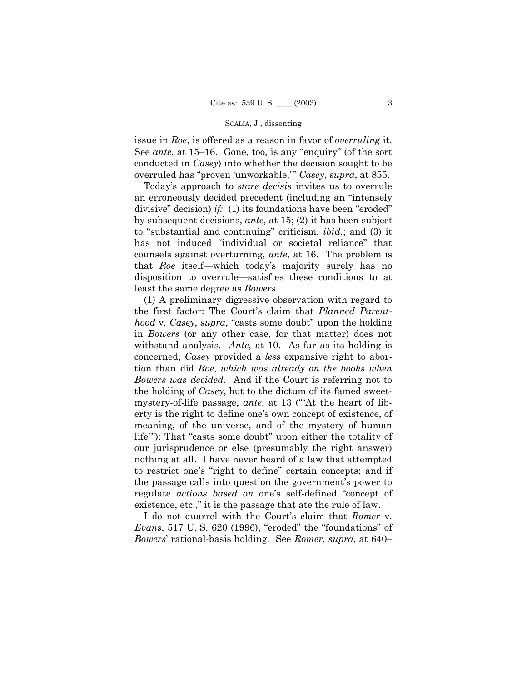issue in *Roe*, is offered as a reason in favor of *overruling* it. See *ante*, at 15–16. Gone, too, is any "enquiry" (of the sort conducted in *Casey*) into whether the decision sought to be overruled has "proven 'unworkable,'" *Casey*, *supra*, at 855.

Today's approach to *stare decisis* invites us to overrule an erroneously decided precedent (including an "intensely divisive" decision) *if:* (1) its foundations have been "eroded" by subsequent decisions, *ante*, at 15; (2) it has been subject to "substantial and continuing" criticism, *ibid.*; and (3) it has not induced "individual or societal reliance" that counsels against overturning, *ante*, at 16. The problem is that *Roe* itself—which today's majority surely has no disposition to overrule—satisfies these conditions to at least the same degree as *Bowers*.

(1) A preliminary digressive observation with regard to the first factor: The Court's claim that *Planned Parenthood* v. *Casey*, *supra*, "casts some doubt" upon the holding in *Bowers* (or any other case, for that matter) does not withstand analysis. *Ante*, at 10. As far as its holding is concerned, *Casey* provided a *less* expansive right to abortion than did *Roe*, *which was already on the books when Bowers was decided*. And if the Court is referring not to the holding of *Casey*, but to the dictum of its famed sweetmystery-of-life passage, *ante*, at 13 ("'At the heart of liberty is the right to define one's own concept of existence, of meaning, of the universe, and of the mystery of human life'"): That "casts some doubt" upon either the totality of our jurisprudence or else (presumably the right answer) nothing at all. I have never heard of a law that attempted to restrict one's "right to define" certain concepts; and if the passage calls into question the government's power to regulate *actions based on* one's self-defined "concept of existence, etc.," it is the passage that ate the rule of law.

I do not quarrel with the Court's claim that *Romer* v. *Evans*, 517 U. S. 620 (1996), "eroded" the "foundations" of *Bowers*' rational-basis holding. See *Romer*, *supra*, at 640–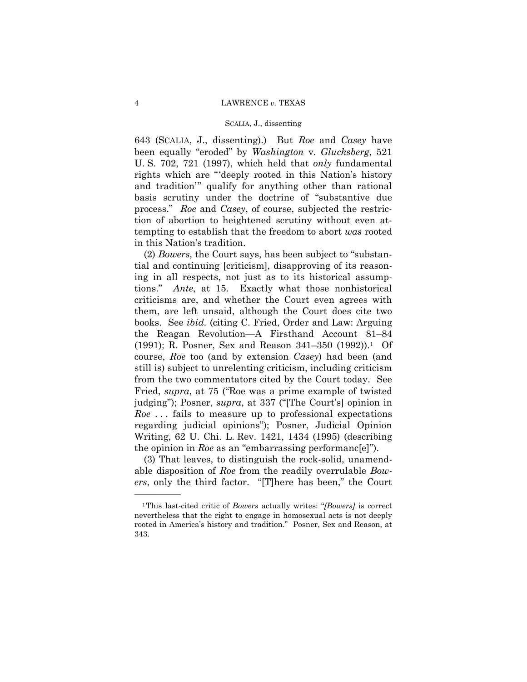#### SCALIA, J., dissenting

643 (SCALIA, J., dissenting).) But *Roe* and *Casey* have been equally "eroded" by *Washington* v. *Glucksberg*, 521 U. S. 702, 721 (1997), which held that *only* fundamental rights which are "'deeply rooted in this Nation's history and tradition'" qualify for anything other than rational basis scrutiny under the doctrine of "substantive due process." *Roe* and *Casey*, of course, subjected the restriction of abortion to heightened scrutiny without even attempting to establish that the freedom to abort *was* rooted in this Nation's tradition.

(2) *Bowers*, the Court says, has been subject to "substantial and continuing [criticism], disapproving of its reasoning in all respects, not just as to its historical assumptions." *Ante*, at 15. Exactly what those nonhistorical criticisms are, and whether the Court even agrees with them, are left unsaid, although the Court does cite two books. See *ibid.* (citing C. Fried, Order and Law: Arguing the Reagan Revolution—A Firsthand Account 81–84 (1991); R. Posner, Sex and Reason 341–350 (1992)).1 Of course, *Roe* too (and by extension *Casey*) had been (and still is) subject to unrelenting criticism, including criticism from the two commentators cited by the Court today. See Fried, *supra*, at 75 ("Roe was a prime example of twisted judging"); Posner, *supra*, at 337 ("[The Court's] opinion in *Roe* . . . fails to measure up to professional expectations regarding judicial opinions"); Posner, Judicial Opinion Writing, 62 U. Chi. L. Rev. 1421, 1434 (1995) (describing the opinion in *Roe* as an "embarrassing performanc[e]").

(3) That leaves, to distinguish the rock-solid, unamendable disposition of *Roe* from the readily overrulable *Bowers*, only the third factor. "[T]here has been," the Court

——————

<sup>1</sup>This last-cited critic of *Bowers* actually writes: "*[Bowers]* is correct nevertheless that the right to engage in homosexual acts is not deeply rooted in America's history and tradition." Posner, Sex and Reason, at 343.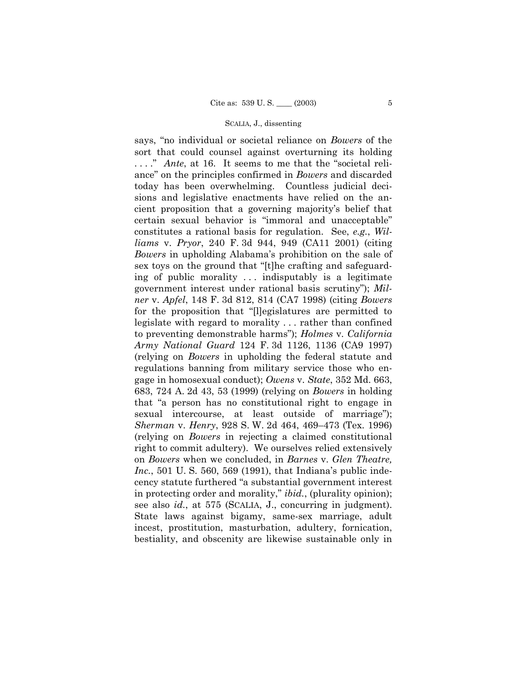says, "no individual or societal reliance on *Bowers* of the sort that could counsel against overturning its holding . . . ." *Ante*, at 16. It seems to me that the "societal reliance" on the principles confirmed in *Bowers* and discarded today has been overwhelming. Countless judicial decisions and legislative enactments have relied on the ancient proposition that a governing majority's belief that certain sexual behavior is "immoral and unacceptable" constitutes a rational basis for regulation. See, *e.g.*, *Williams* v. *Pryor*, 240 F. 3d 944, 949 (CA11 2001) (citing *Bowers* in upholding Alabama's prohibition on the sale of sex toys on the ground that "[t]he crafting and safeguarding of public morality . . . indisputably is a legitimate government interest under rational basis scrutiny"); *Milner* v. *Apfel*, 148 F. 3d 812, 814 (CA7 1998) (citing *Bowers*  for the proposition that "[l]egislatures are permitted to legislate with regard to morality . . . rather than confined to preventing demonstrable harms"); *Holmes* v. *California Army National Guard* 124 F. 3d 1126, 1136 (CA9 1997) (relying on *Bowers* in upholding the federal statute and regulations banning from military service those who engage in homosexual conduct); *Owens* v. *State*, 352 Md. 663, 683, 724 A. 2d 43, 53 (1999) (relying on *Bowers* in holding that "a person has no constitutional right to engage in sexual intercourse, at least outside of marriage"); *Sherman* v. *Henry*, 928 S. W. 2d 464, 469–473 (Tex. 1996) (relying on *Bowers* in rejecting a claimed constitutional right to commit adultery). We ourselves relied extensively on *Bowers* when we concluded, in *Barnes* v. *Glen Theatre, Inc.*, 501 U.S. 560, 569 (1991), that Indiana's public indecency statute furthered "a substantial government interest in protecting order and morality," *ibid.*, (plurality opinion); see also *id.*, at 575 (SCALIA, J., concurring in judgment). State laws against bigamy, same-sex marriage, adult incest, prostitution, masturbation, adultery, fornication, bestiality, and obscenity are likewise sustainable only in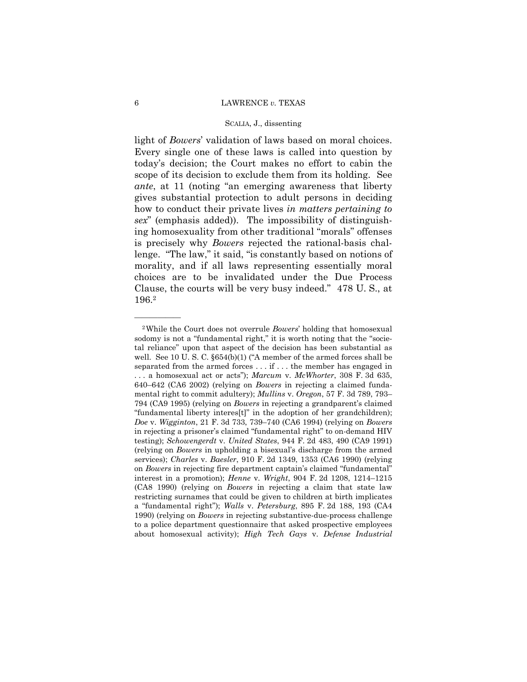#### SCALIA, J., dissenting

light of *Bowers*' validation of laws based on moral choices. Every single one of these laws is called into question by today's decision; the Court makes no effort to cabin the scope of its decision to exclude them from its holding. See *ante*, at 11 (noting "an emerging awareness that liberty gives substantial protection to adult persons in deciding how to conduct their private lives *in matters pertaining to sex*" (emphasis added)). The impossibility of distinguishing homosexuality from other traditional "morals" offenses is precisely why *Bowers* rejected the rational-basis challenge. "The law," it said, "is constantly based on notions of morality, and if all laws representing essentially moral choices are to be invalidated under the Due Process Clause, the courts will be very busy indeed." 478 U. S., at 196.2

——————

<sup>2</sup>While the Court does not overrule *Bowers*' holding that homosexual sodomy is not a "fundamental right," it is worth noting that the "societal reliance" upon that aspect of the decision has been substantial as well. See 10 U. S. C. §654(b)(1) ("A member of the armed forces shall be separated from the armed forces . . . if . . . the member has engaged in . . . a homosexual act or acts"); *Marcum* v. *McWhorter*, 308 F. 3d 635, 640–642 (CA6 2002) (relying on *Bowers* in rejecting a claimed fundamental right to commit adultery); *Mullins* v. *Oregon*, 57 F. 3d 789, 793– 794 (CA9 1995) (relying on *Bowers* in rejecting a grandparent's claimed "fundamental liberty interes[t]" in the adoption of her grandchildren); *Doe* v. *Wigginton*, 21 F. 3d 733, 739–740 (CA6 1994) (relying on *Bowers*  in rejecting a prisoner's claimed "fundamental right" to on-demand HIV testing); *Schowengerdt* v. *United States*, 944 F. 2d 483, 490 (CA9 1991) (relying on *Bowers* in upholding a bisexual's discharge from the armed services); *Charles* v. *Baesler*, 910 F. 2d 1349, 1353 (CA6 1990) (relying on *Bowers* in rejecting fire department captain's claimed "fundamental" interest in a promotion); *Henne* v. *Wright*, 904 F. 2d 1208, 1214–1215 (CA8 1990) (relying on *Bowers* in rejecting a claim that state law restricting surnames that could be given to children at birth implicates a "fundamental right"); *Walls* v. *Petersburg*, 895 F. 2d 188, 193 (CA4 1990) (relying on *Bowers* in rejecting substantive-due-process challenge to a police department questionnaire that asked prospective employees about homosexual activity); *High Tech Gays* v. *Defense Industrial*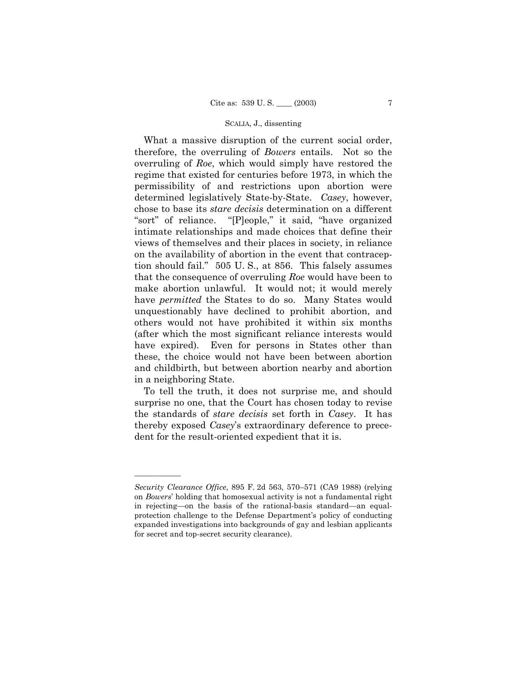What a massive disruption of the current social order, therefore, the overruling of *Bowers* entails. Not so the overruling of *Roe*, which would simply have restored the regime that existed for centuries before 1973, in which the permissibility of and restrictions upon abortion were determined legislatively State-by-State. *Casey*, however, chose to base its *stare decisis* determination on a different "sort" of reliance. "[P]eople," it said, "have organized intimate relationships and made choices that define their views of themselves and their places in society, in reliance on the availability of abortion in the event that contraception should fail." 505 U. S., at 856. This falsely assumes that the consequence of overruling *Roe* would have been to make abortion unlawful. It would not; it would merely have *permitted* the States to do so. Many States would unquestionably have declined to prohibit abortion, and others would not have prohibited it within six months (after which the most significant reliance interests would have expired). Even for persons in States other than these, the choice would not have been between abortion and childbirth, but between abortion nearby and abortion in a neighboring State.

To tell the truth, it does not surprise me, and should surprise no one, that the Court has chosen today to revise the standards of *stare decisis* set forth in *Casey*. It has thereby exposed *Casey*'s extraordinary deference to precedent for the result-oriented expedient that it is.

——————

*Security Clearance Office*, 895 F. 2d 563, 570–571 (CA9 1988) (relying on *Bowers*' holding that homosexual activity is not a fundamental right in rejecting—on the basis of the rational-basis standard—an equalprotection challenge to the Defense Department's policy of conducting expanded investigations into backgrounds of gay and lesbian applicants for secret and top-secret security clearance).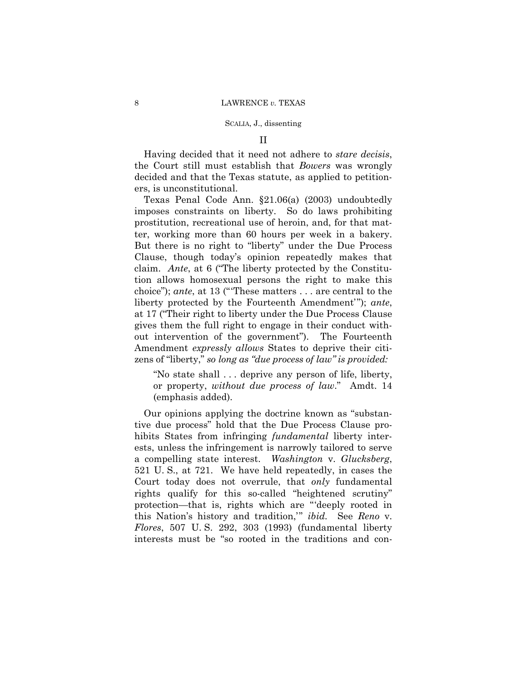## II

Having decided that it need not adhere to *stare decisis*, the Court still must establish that *Bowers* was wrongly decided and that the Texas statute, as applied to petitioners, is unconstitutional.

Texas Penal Code Ann. §21.06(a) (2003) undoubtedly imposes constraints on liberty. So do laws prohibiting prostitution, recreational use of heroin, and, for that matter, working more than 60 hours per week in a bakery. But there is no right to "liberty" under the Due Process Clause, though today's opinion repeatedly makes that claim. *Ante*, at 6 ("The liberty protected by the Constitution allows homosexual persons the right to make this choice"); *ante*, at 13 ("'These matters . . . are central to the liberty protected by the Fourteenth Amendment'"); *ante*, at 17 ("Their right to liberty under the Due Process Clause gives them the full right to engage in their conduct without intervention of the government"). The Fourteenth Amendment *expressly allows* States to deprive their citizens of "liberty," *so long as "due process of law" is provided:* 

"No state shall . . . deprive any person of life, liberty, or property, *without due process of law*." Amdt. 14 (emphasis added).

Our opinions applying the doctrine known as "substantive due process" hold that the Due Process Clause prohibits States from infringing *fundamental* liberty interests, unless the infringement is narrowly tailored to serve a compelling state interest. *Washington* v. *Glucksberg*, 521 U. S., at 721. We have held repeatedly, in cases the Court today does not overrule, that *only* fundamental rights qualify for this so-called "heightened scrutiny" protection—that is, rights which are "'deeply rooted in this Nation's history and tradition,'" *ibid.* See *Reno* v. *Flores*, 507 U. S. 292, 303 (1993) (fundamental liberty interests must be "so rooted in the traditions and con-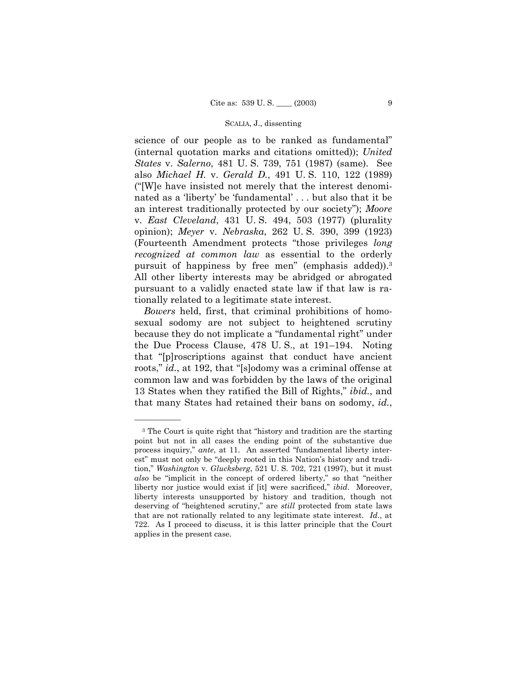science of our people as to be ranked as fundamental" (internal quotation marks and citations omitted)); *United States* v. *Salerno*, 481 U. S. 739, 751 (1987) (same). See also *Michael H.* v. *Gerald D.*, 491 U. S. 110, 122 (1989) ("[W]e have insisted not merely that the interest denominated as a 'liberty' be 'fundamental' . . . but also that it be an interest traditionally protected by our society"); *Moore*  v. *East Cleveland*, 431 U. S. 494, 503 (1977) (plurality opinion); *Meyer* v. *Nebraska*, 262 U. S. 390, 399 (1923) (Fourteenth Amendment protects "those privileges *long recognized at common law* as essential to the orderly pursuit of happiness by free men" (emphasis added)).3 All other liberty interests may be abridged or abrogated pursuant to a validly enacted state law if that law is rationally related to a legitimate state interest.

*Bowers* held, first, that criminal prohibitions of homosexual sodomy are not subject to heightened scrutiny because they do not implicate a "fundamental right" under the Due Process Clause, 478 U. S., at 191–194. Noting that "[p]roscriptions against that conduct have ancient roots," *id.*, at 192, that "[s]odomy was a criminal offense at common law and was forbidden by the laws of the original 13 States when they ratified the Bill of Rights," *ibid.*, and that many States had retained their bans on sodomy, *id.*,

——————

<sup>3</sup> The Court is quite right that "history and tradition are the starting point but not in all cases the ending point of the substantive due process inquiry," *ante*, at 11. An asserted "fundamental liberty interest" must not only be "deeply rooted in this Nation's history and tradition," *Washington* v. *Glucksberg*, 521 U. S. 702, 721 (1997), but it must *also* be "implicit in the concept of ordered liberty," so that "neither liberty nor justice would exist if [it] were sacrificed," *ibid*. Moreover, liberty interests unsupported by history and tradition, though not deserving of "heightened scrutiny," are *still* protected from state laws that are not rationally related to any legitimate state interest. *Id.*, at 722. As I proceed to discuss, it is this latter principle that the Court applies in the present case.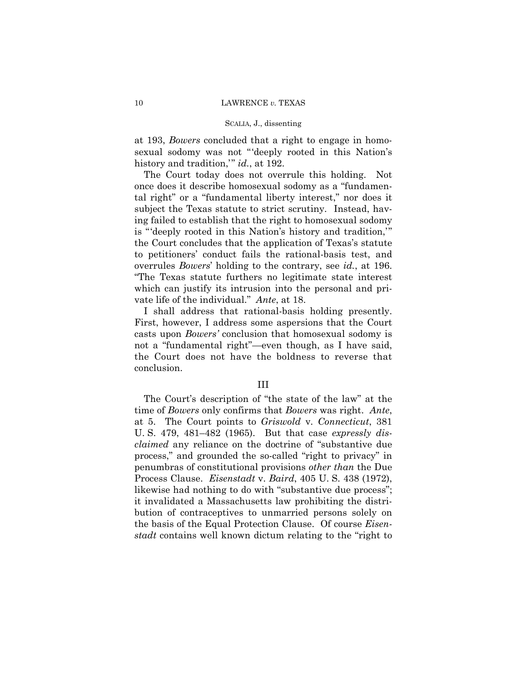at 193, *Bowers* concluded that a right to engage in homosexual sodomy was not "'deeply rooted in this Nation's history and tradition,'" *id.*, at 192.

The Court today does not overrule this holding. Not once does it describe homosexual sodomy as a "fundamental right" or a "fundamental liberty interest," nor does it subject the Texas statute to strict scrutiny. Instead, having failed to establish that the right to homosexual sodomy is "'deeply rooted in this Nation's history and tradition,'" the Court concludes that the application of Texas's statute to petitioners' conduct fails the rational-basis test, and overrules *Bowers*' holding to the contrary, see *id.*, at 196. "The Texas statute furthers no legitimate state interest which can justify its intrusion into the personal and private life of the individual." *Ante*, at 18.

I shall address that rational-basis holding presently. First, however, I address some aspersions that the Court casts upon *Bowers'* conclusion that homosexual sodomy is not a "fundamental right"—even though, as I have said, the Court does not have the boldness to reverse that conclusion.

# III

The Court's description of "the state of the law" at the time of *Bowers* only confirms that *Bowers* was right. *Ante*, at 5. The Court points to *Griswold* v. *Connecticut*, 381 U. S. 479, 481–482 (1965). But that case *expressly disclaimed* any reliance on the doctrine of "substantive due process," and grounded the so-called "right to privacy" in penumbras of constitutional provisions *other than* the Due Process Clause. *Eisenstadt* v. *Baird*, 405 U. S. 438 (1972), likewise had nothing to do with "substantive due process"; it invalidated a Massachusetts law prohibiting the distribution of contraceptives to unmarried persons solely on the basis of the Equal Protection Clause. Of course *Eisenstadt* contains well known dictum relating to the "right to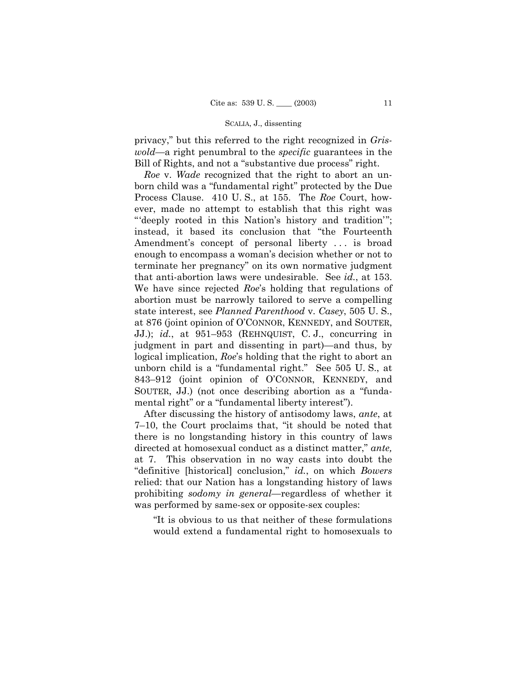privacy," but this referred to the right recognized in *Griswold*—a right penumbral to the *specific* guarantees in the Bill of Rights, and not a "substantive due process" right.

*Roe* v. *Wade* recognized that the right to abort an unborn child was a "fundamental right" protected by the Due Process Clause. 410 U. S., at 155. The *Roe* Court, however, made no attempt to establish that this right was "'deeply rooted in this Nation's history and tradition'"; instead, it based its conclusion that "the Fourteenth Amendment's concept of personal liberty . . . is broad enough to encompass a woman's decision whether or not to terminate her pregnancy" on its own normative judgment that anti-abortion laws were undesirable. See *id.*, at 153. We have since rejected *Roe*'s holding that regulations of abortion must be narrowly tailored to serve a compelling state interest, see *Planned Parenthood* v. *Casey*, 505 U. S., at 876 (joint opinion of O'CONNOR, KENNEDY, and SOUTER, JJ.); *id.*, at 951–953 (REHNQUIST, C. J., concurring in judgment in part and dissenting in part)—and thus, by logical implication, *Roe*'s holding that the right to abort an unborn child is a "fundamental right." See 505 U. S., at 843–912 (joint opinion of O'CONNOR, KENNEDY, and SOUTER, JJ.) (not once describing abortion as a "fundamental right" or a "fundamental liberty interest").

After discussing the history of antisodomy laws, *ante*, at 7–10, the Court proclaims that, "it should be noted that there is no longstanding history in this country of laws directed at homosexual conduct as a distinct matter," *ante,*  at 7. This observation in no way casts into doubt the "definitive [historical] conclusion," *id.*, on which *Bowers*  relied: that our Nation has a longstanding history of laws prohibiting *sodomy in general*—regardless of whether it was performed by same-sex or opposite-sex couples:

"It is obvious to us that neither of these formulations would extend a fundamental right to homosexuals to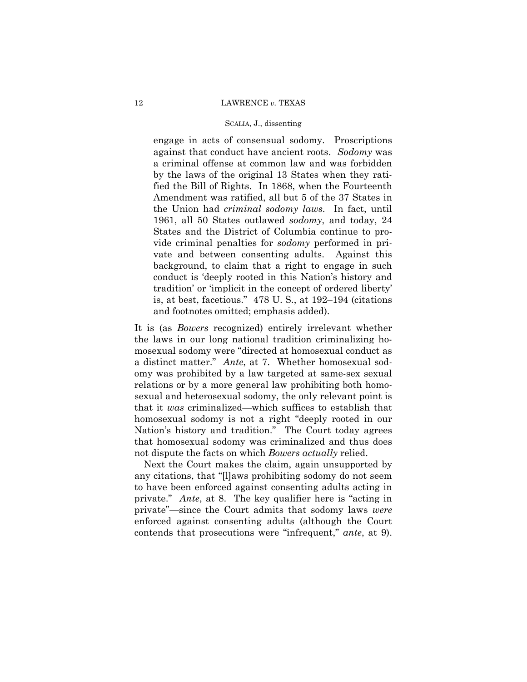#### SCALIA, J., dissenting

engage in acts of consensual sodomy. Proscriptions against that conduct have ancient roots. *Sodomy* was a criminal offense at common law and was forbidden by the laws of the original 13 States when they ratified the Bill of Rights. In 1868, when the Fourteenth Amendment was ratified, all but 5 of the 37 States in the Union had *criminal sodomy laws*. In fact, until 1961, all 50 States outlawed *sodomy*, and today, 24 States and the District of Columbia continue to provide criminal penalties for *sodomy* performed in private and between consenting adults. Against this background, to claim that a right to engage in such conduct is 'deeply rooted in this Nation's history and tradition' or 'implicit in the concept of ordered liberty' is, at best, facetious." 478 U. S., at 192–194 (citations and footnotes omitted; emphasis added).

It is (as *Bowers* recognized) entirely irrelevant whether the laws in our long national tradition criminalizing homosexual sodomy were "directed at homosexual conduct as a distinct matter." *Ante*, at 7. Whether homosexual sodomy was prohibited by a law targeted at same-sex sexual relations or by a more general law prohibiting both homosexual and heterosexual sodomy, the only relevant point is that it *was* criminalized—which suffices to establish that homosexual sodomy is not a right "deeply rooted in our Nation's history and tradition." The Court today agrees that homosexual sodomy was criminalized and thus does not dispute the facts on which *Bowers actually* relied.

Next the Court makes the claim, again unsupported by any citations, that "[l]aws prohibiting sodomy do not seem to have been enforced against consenting adults acting in private." *Ante*, at 8. The key qualifier here is "acting in private"—since the Court admits that sodomy laws *were*  enforced against consenting adults (although the Court contends that prosecutions were "infrequent," *ante*, at 9).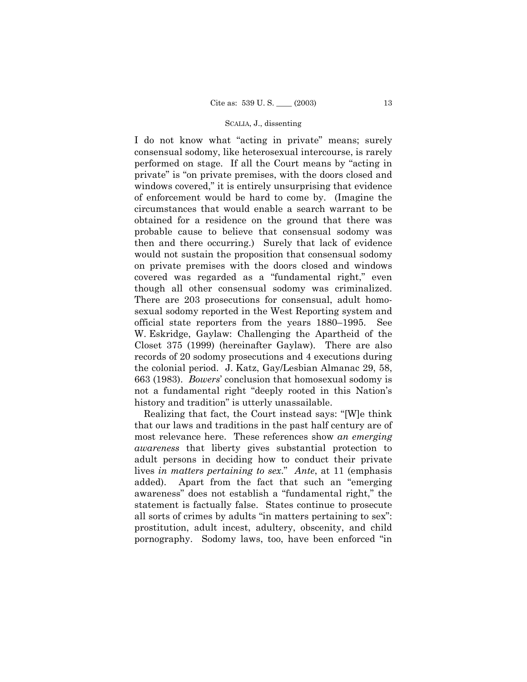I do not know what "acting in private" means; surely consensual sodomy, like heterosexual intercourse, is rarely performed on stage. If all the Court means by "acting in private" is "on private premises, with the doors closed and windows covered," it is entirely unsurprising that evidence of enforcement would be hard to come by. (Imagine the circumstances that would enable a search warrant to be obtained for a residence on the ground that there was probable cause to believe that consensual sodomy was then and there occurring.) Surely that lack of evidence would not sustain the proposition that consensual sodomy on private premises with the doors closed and windows covered was regarded as a "fundamental right," even though all other consensual sodomy was criminalized. There are 203 prosecutions for consensual, adult homosexual sodomy reported in the West Reporting system and official state reporters from the years 1880–1995. See W. Eskridge, Gaylaw: Challenging the Apartheid of the Closet 375 (1999) (hereinafter Gaylaw). There are also records of 20 sodomy prosecutions and 4 executions during the colonial period. J. Katz, Gay/Lesbian Almanac 29, 58, 663 (1983). *Bowers*' conclusion that homosexual sodomy is not a fundamental right "deeply rooted in this Nation's history and tradition" is utterly unassailable.

Realizing that fact, the Court instead says: "[W]e think that our laws and traditions in the past half century are of most relevance here. These references show *an emerging awareness* that liberty gives substantial protection to adult persons in deciding how to conduct their private lives *in matters pertaining to sex*." *Ante*, at 11 (emphasis added). Apart from the fact that such an "emerging awareness" does not establish a "fundamental right," the statement is factually false. States continue to prosecute all sorts of crimes by adults "in matters pertaining to sex": prostitution, adult incest, adultery, obscenity, and child pornography. Sodomy laws, too, have been enforced "in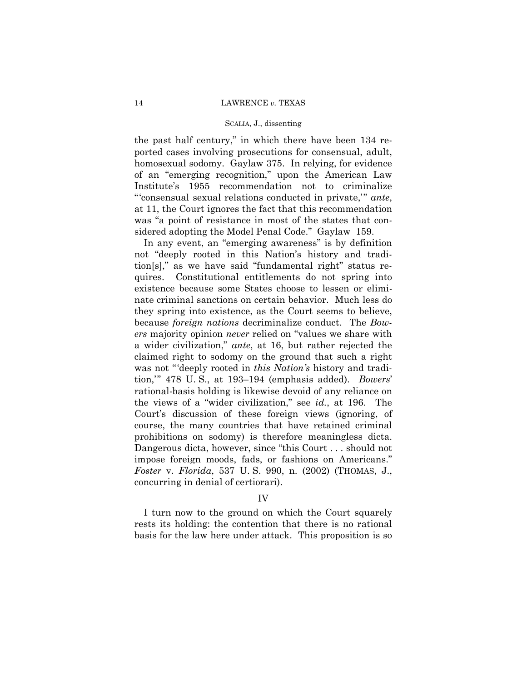#### SCALIA, J., dissenting

the past half century," in which there have been 134 reported cases involving prosecutions for consensual, adult, homosexual sodomy. Gaylaw 375. In relying, for evidence of an "emerging recognition," upon the American Law Institute's 1955 recommendation not to criminalize "'consensual sexual relations conducted in private,'" *ante*, at 11, the Court ignores the fact that this recommendation was "a point of resistance in most of the states that considered adopting the Model Penal Code." Gaylaw 159.

In any event, an "emerging awareness" is by definition not "deeply rooted in this Nation's history and tradition[s]," as we have said "fundamental right" status requires. Constitutional entitlements do not spring into existence because some States choose to lessen or eliminate criminal sanctions on certain behavior. Much less do they spring into existence, as the Court seems to believe, because *foreign nations* decriminalize conduct. The *Bowers* majority opinion *never* relied on "values we share with a wider civilization," *ante*, at 16, but rather rejected the claimed right to sodomy on the ground that such a right was not "'deeply rooted in *this Nation's* history and tradition,'" 478 U. S., at 193–194 (emphasis added). *Bowers*' rational-basis holding is likewise devoid of any reliance on the views of a "wider civilization," see *id.*, at 196. The Court's discussion of these foreign views (ignoring, of course, the many countries that have retained criminal prohibitions on sodomy) is therefore meaningless dicta. Dangerous dicta, however, since "this Court . . . should not impose foreign moods, fads, or fashions on Americans." *Foster* v. *Florida*, 537 U. S. 990, n. (2002) (THOMAS, J., concurring in denial of certiorari).

# IV

I turn now to the ground on which the Court squarely rests its holding: the contention that there is no rational basis for the law here under attack. This proposition is so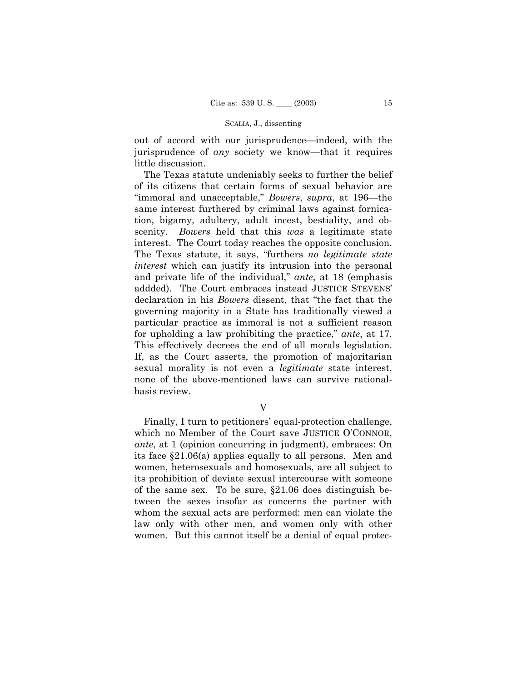out of accord with our jurisprudence—indeed, with the jurisprudence of *any* society we know—that it requires little discussion.

The Texas statute undeniably seeks to further the belief of its citizens that certain forms of sexual behavior are "immoral and unacceptable," *Bowers*, *supra*, at 196—the same interest furthered by criminal laws against fornication, bigamy, adultery, adult incest, bestiality, and obscenity. *Bowers* held that this *was* a legitimate state interest. The Court today reaches the opposite conclusion. The Texas statute, it says, "furthers *no legitimate state interest* which can justify its intrusion into the personal and private life of the individual," *ante*, at 18 (emphasis addded). The Court embraces instead JUSTICE STEVENS' declaration in his *Bowers* dissent, that "the fact that the governing majority in a State has traditionally viewed a particular practice as immoral is not a sufficient reason for upholding a law prohibiting the practice," *ante*, at 17*.*  This effectively decrees the end of all morals legislation. If, as the Court asserts, the promotion of majoritarian sexual morality is not even a *legitimate* state interest, none of the above-mentioned laws can survive rationalbasis review.

V

Finally, I turn to petitioners' equal-protection challenge, which no Member of the Court save JUSTICE O'CONNOR, *ante*, at 1 (opinion concurring in judgment), embraces: On its face §21.06(a) applies equally to all persons. Men and women, heterosexuals and homosexuals, are all subject to its prohibition of deviate sexual intercourse with someone of the same sex. To be sure, §21.06 does distinguish between the sexes insofar as concerns the partner with whom the sexual acts are performed: men can violate the law only with other men, and women only with other women. But this cannot itself be a denial of equal protec-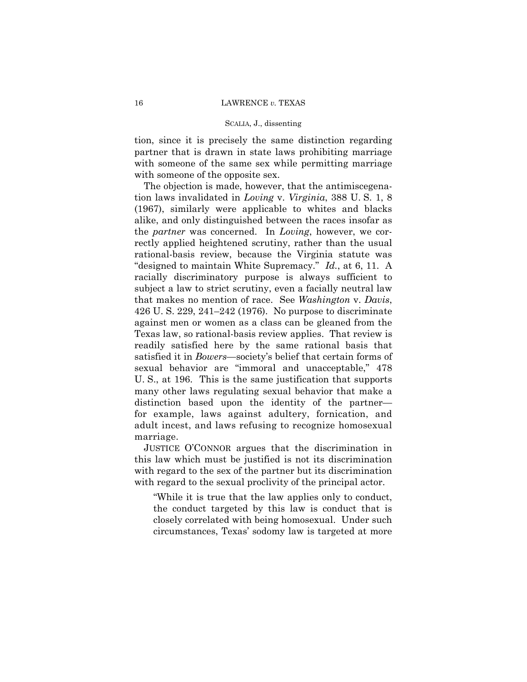#### SCALIA, J., dissenting

tion, since it is precisely the same distinction regarding partner that is drawn in state laws prohibiting marriage with someone of the same sex while permitting marriage with someone of the opposite sex.

The objection is made, however, that the antimiscegenation laws invalidated in *Loving* v. *Virginia*, 388 U. S. 1, 8 (1967), similarly were applicable to whites and blacks alike, and only distinguished between the races insofar as the *partner* was concerned. In *Loving*, however, we correctly applied heightened scrutiny, rather than the usual rational-basis review, because the Virginia statute was "designed to maintain White Supremacy." *Id.*, at 6, 11. A racially discriminatory purpose is always sufficient to subject a law to strict scrutiny, even a facially neutral law that makes no mention of race. See *Washington* v. *Davis*, 426 U. S. 229, 241–242 (1976). No purpose to discriminate against men or women as a class can be gleaned from the Texas law, so rational-basis review applies. That review is readily satisfied here by the same rational basis that satisfied it in *Bowers*—society's belief that certain forms of sexual behavior are "immoral and unacceptable," 478 U. S., at 196. This is the same justification that supports many other laws regulating sexual behavior that make a distinction based upon the identity of the partner for example, laws against adultery, fornication, and adult incest, and laws refusing to recognize homosexual marriage.

JUSTICE O'CONNOR argues that the discrimination in this law which must be justified is not its discrimination with regard to the sex of the partner but its discrimination with regard to the sexual proclivity of the principal actor.

"While it is true that the law applies only to conduct, the conduct targeted by this law is conduct that is closely correlated with being homosexual. Under such circumstances, Texas' sodomy law is targeted at more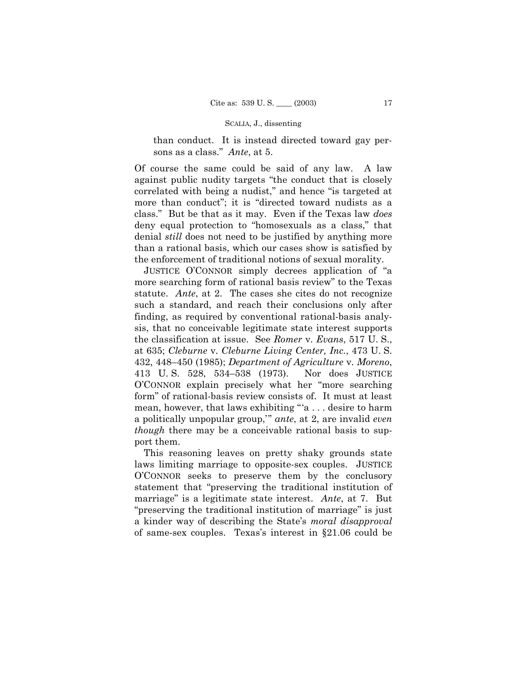than conduct. It is instead directed toward gay persons as a class." *Ante*, at 5.

Of course the same could be said of any law. A law against public nudity targets "the conduct that is closely correlated with being a nudist," and hence "is targeted at more than conduct"; it is "directed toward nudists as a class." But be that as it may. Even if the Texas law *does*  deny equal protection to "homosexuals as a class," that denial *still* does not need to be justified by anything more than a rational basis, which our cases show is satisfied by the enforcement of traditional notions of sexual morality.

JUSTICE O'CONNOR simply decrees application of "a more searching form of rational basis review" to the Texas statute. *Ante*, at 2. The cases she cites do not recognize such a standard, and reach their conclusions only after finding, as required by conventional rational-basis analysis, that no conceivable legitimate state interest supports the classification at issue. See *Romer* v. *Evans*, 517 U. S., at 635; *Cleburne* v. *Cleburne Living Center, Inc.*, 473 U. S. 432, 448–450 (1985); *Department of Agriculture* v. *Moreno*, 413 U. S. 528, 534–538 (1973). Nor does JUSTICE O'CONNOR explain precisely what her "more searching form" of rational-basis review consists of. It must at least mean, however, that laws exhibiting "'a . . . desire to harm a politically unpopular group,'" *ante*, at 2, are invalid *even though* there may be a conceivable rational basis to support them.

This reasoning leaves on pretty shaky grounds state laws limiting marriage to opposite-sex couples. JUSTICE O'CONNOR seeks to preserve them by the conclusory statement that "preserving the traditional institution of marriage" is a legitimate state interest. *Ante*, at 7. But "preserving the traditional institution of marriage" is just a kinder way of describing the State's *moral disapproval*  of same-sex couples. Texas's interest in §21.06 could be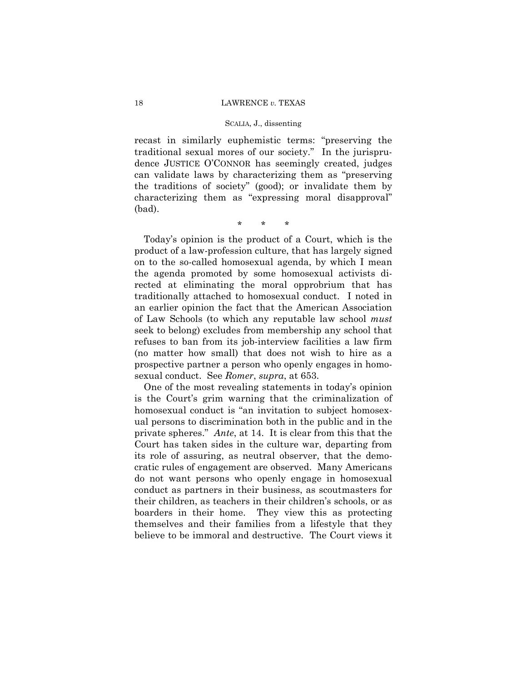#### SCALIA, J., dissenting

recast in similarly euphemistic terms: "preserving the traditional sexual mores of our society." In the jurisprudence JUSTICE O'CONNOR has seemingly created, judges can validate laws by characterizing them as "preserving the traditions of society" (good); or invalidate them by characterizing them as "expressing moral disapproval" (bad).

# \* \* \*

Today's opinion is the product of a Court, which is the product of a law-profession culture, that has largely signed on to the so-called homosexual agenda, by which I mean the agenda promoted by some homosexual activists directed at eliminating the moral opprobrium that has traditionally attached to homosexual conduct. I noted in an earlier opinion the fact that the American Association of Law Schools (to which any reputable law school *must*  seek to belong) excludes from membership any school that refuses to ban from its job-interview facilities a law firm (no matter how small) that does not wish to hire as a prospective partner a person who openly engages in homosexual conduct. See *Romer*, *supra*, at 653.

One of the most revealing statements in today's opinion is the Court's grim warning that the criminalization of homosexual conduct is "an invitation to subject homosexual persons to discrimination both in the public and in the private spheres." *Ante*, at 14. It is clear from this that the Court has taken sides in the culture war, departing from its role of assuring, as neutral observer, that the democratic rules of engagement are observed. Many Americans do not want persons who openly engage in homosexual conduct as partners in their business, as scoutmasters for their children, as teachers in their children's schools, or as boarders in their home. They view this as protecting themselves and their families from a lifestyle that they believe to be immoral and destructive. The Court views it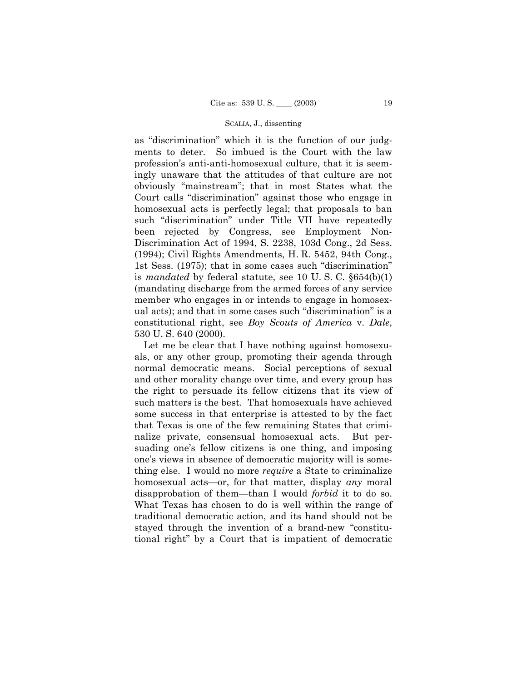as "discrimination" which it is the function of our judgments to deter. So imbued is the Court with the law profession's anti-anti-homosexual culture, that it is seemingly unaware that the attitudes of that culture are not obviously "mainstream"; that in most States what the Court calls "discrimination" against those who engage in homosexual acts is perfectly legal; that proposals to ban such "discrimination" under Title VII have repeatedly been rejected by Congress, see Employment Non-Discrimination Act of 1994, S. 2238, 103d Cong., 2d Sess. (1994); Civil Rights Amendments, H. R. 5452, 94th Cong., 1st Sess. (1975); that in some cases such "discrimination" is *mandated* by federal statute, see 10 U. S. C. §654(b)(1) (mandating discharge from the armed forces of any service member who engages in or intends to engage in homosexual acts); and that in some cases such "discrimination" is a constitutional right, see *Boy Scouts of America* v. *Dale*, 530 U. S. 640 (2000).

Let me be clear that I have nothing against homosexuals, or any other group, promoting their agenda through normal democratic means. Social perceptions of sexual and other morality change over time, and every group has the right to persuade its fellow citizens that its view of such matters is the best. That homosexuals have achieved some success in that enterprise is attested to by the fact that Texas is one of the few remaining States that criminalize private, consensual homosexual acts. But persuading one's fellow citizens is one thing, and imposing one's views in absence of democratic majority will is something else. I would no more *require* a State to criminalize homosexual acts—or, for that matter, display *any* moral disapprobation of them—than I would *forbid* it to do so. What Texas has chosen to do is well within the range of traditional democratic action, and its hand should not be stayed through the invention of a brand-new "constitutional right" by a Court that is impatient of democratic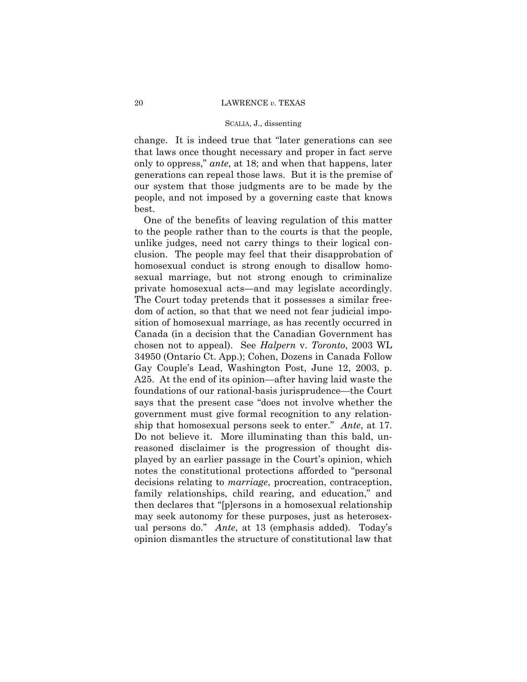#### SCALIA, J., dissenting

change. It is indeed true that "later generations can see that laws once thought necessary and proper in fact serve only to oppress," *ante*, at 18; and when that happens, later generations can repeal those laws. But it is the premise of our system that those judgments are to be made by the people, and not imposed by a governing caste that knows best.

One of the benefits of leaving regulation of this matter to the people rather than to the courts is that the people, unlike judges, need not carry things to their logical conclusion. The people may feel that their disapprobation of homosexual conduct is strong enough to disallow homosexual marriage, but not strong enough to criminalize private homosexual acts—and may legislate accordingly. The Court today pretends that it possesses a similar freedom of action, so that that we need not fear judicial imposition of homosexual marriage, as has recently occurred in Canada (in a decision that the Canadian Government has chosen not to appeal). See *Halpern* v. *Toronto*, 2003 WL 34950 (Ontario Ct. App.); Cohen, Dozens in Canada Follow Gay Couple's Lead, Washington Post, June 12, 2003, p. A25. At the end of its opinion—after having laid waste the foundations of our rational-basis jurisprudence—the Court says that the present case "does not involve whether the government must give formal recognition to any relationship that homosexual persons seek to enter." *Ante*, at 17. Do not believe it. More illuminating than this bald, unreasoned disclaimer is the progression of thought displayed by an earlier passage in the Court's opinion, which notes the constitutional protections afforded to "personal decisions relating to *marriage*, procreation, contraception, family relationships, child rearing, and education," and then declares that "[p]ersons in a homosexual relationship may seek autonomy for these purposes, just as heterosexual persons do." *Ante*, at 13 (emphasis added)*.* Today's opinion dismantles the structure of constitutional law that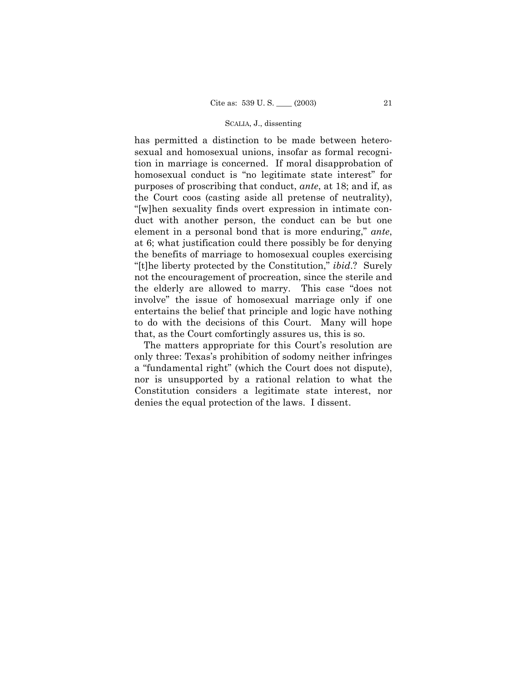has permitted a distinction to be made between heterosexual and homosexual unions, insofar as formal recognition in marriage is concerned. If moral disapprobation of homosexual conduct is "no legitimate state interest" for purposes of proscribing that conduct, *ante*, at 18; and if, as the Court coos (casting aside all pretense of neutrality), "[w]hen sexuality finds overt expression in intimate conduct with another person, the conduct can be but one element in a personal bond that is more enduring," *ante*, at 6; what justification could there possibly be for denying the benefits of marriage to homosexual couples exercising "[t]he liberty protected by the Constitution," *ibid*.? Surely not the encouragement of procreation, since the sterile and the elderly are allowed to marry. This case "does not involve" the issue of homosexual marriage only if one entertains the belief that principle and logic have nothing to do with the decisions of this Court. Many will hope that, as the Court comfortingly assures us, this is so.

The matters appropriate for this Court's resolution are only three: Texas's prohibition of sodomy neither infringes a "fundamental right" (which the Court does not dispute), nor is unsupported by a rational relation to what the Constitution considers a legitimate state interest, nor denies the equal protection of the laws. I dissent.